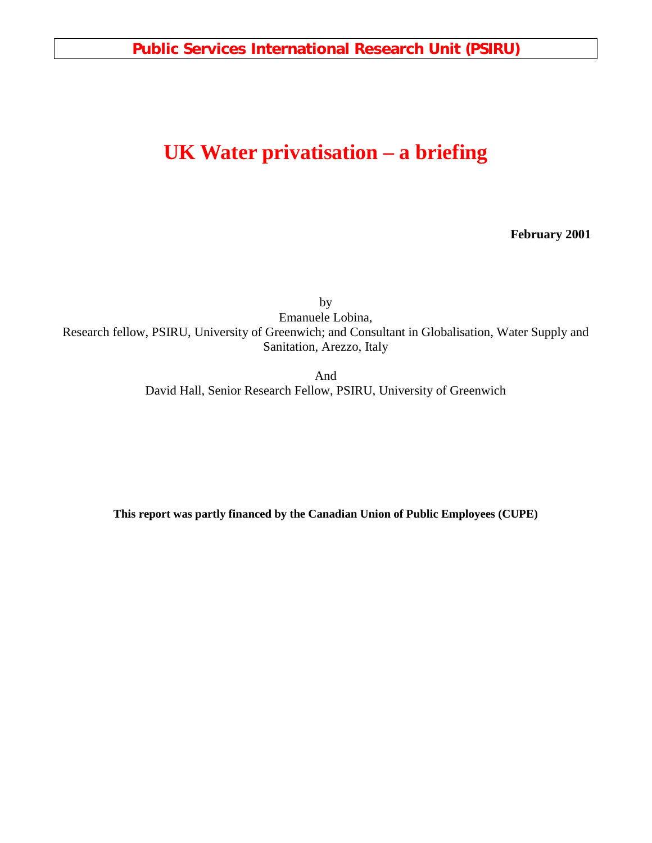**Public Services International Research Unit (PSIRU)**

# **UK Water privatisation – a briefing**

**February 2001**

by Emanuele Lobina, Research fellow, PSIRU, University of Greenwich; and Consultant in Globalisation, Water Supply and Sanitation, Arezzo, Italy

And

David Hall, Senior Research Fellow, PSIRU, University of Greenwich

**This report was partly financed by the Canadian Union of Public Employees (CUPE)**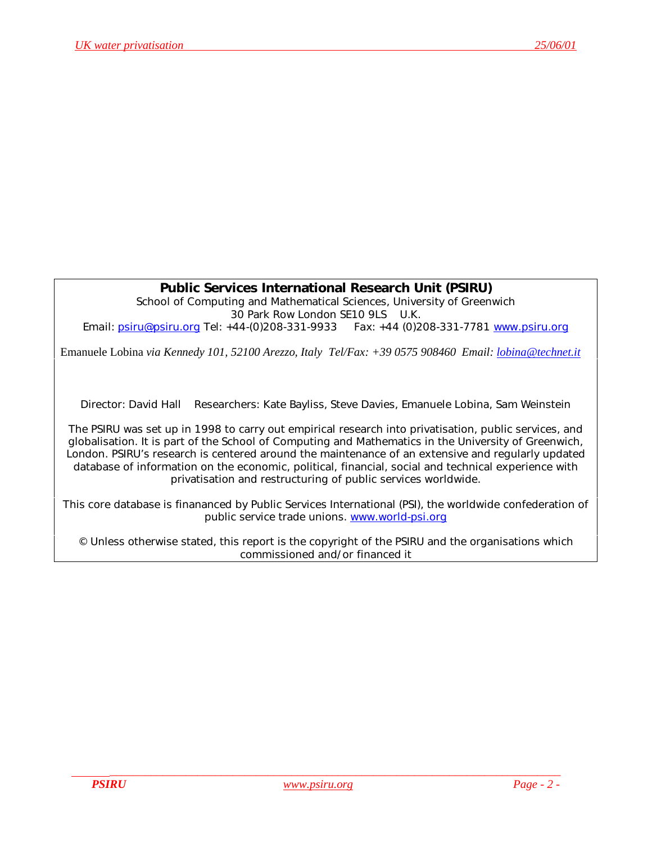## **Public Services International Research Unit (PSIRU)**

School of Computing and Mathematical Sciences, University of Greenwich 30 Park Row London SE10 9LS U.K. *Email:* [psiru@psiru.org](mailto:psiru@psiru.org) *Tel*: +44-(0)208-331-9933 *Fax*: +44 (0)208-331-7781 [www.psiru.org](http://www.psiru.org/)

Emanuele Lobina *via Kennedy 101, 52100 Arezzo, Italy Tel/Fax: +39 0575 908460 Email: [lobina@technet.it](mailto:lobina@technet.it)*

Director: David Hall Researchers: Kate Bayliss, Steve Davies, Emanuele Lobina, Sam Weinstein

The PSIRU was set up in 1998 to carry out empirical research into privatisation, public services, and globalisation. It is part of the School of Computing and Mathematics in the University of Greenwich, London. PSIRU's research is centered around the maintenance of an extensive and regularly updated database of information on the economic, political, financial, social and technical experience with privatisation and restructuring of public services worldwide.

This core database is finananced by Public Services International (PSI), the worldwide confederation of public service trade unions. [www.world-psi.org](http://www.world-psi.org/)

© Unless otherwise stated, this report is the copyright of the PSIRU and the organisations which commissioned and/or financed it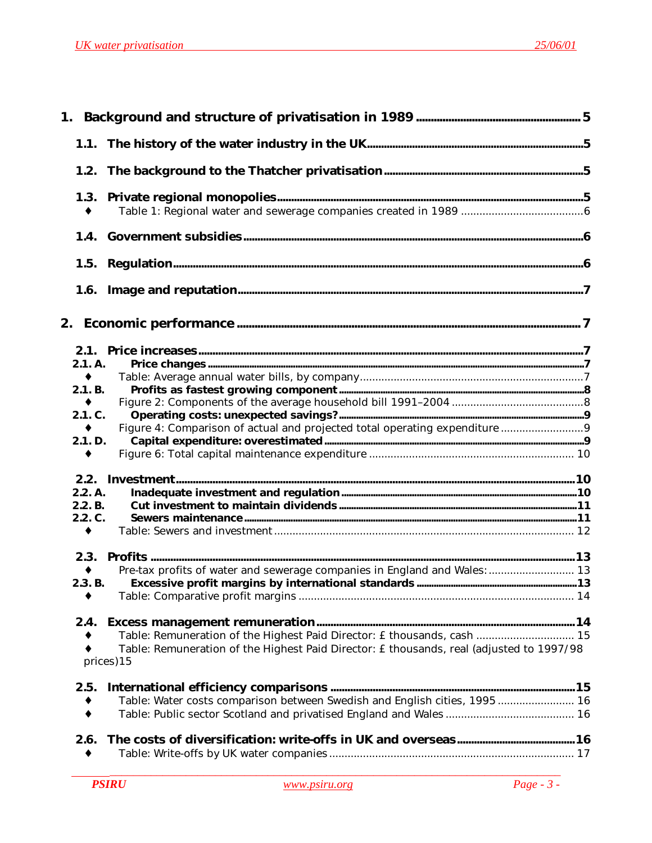| 1.2.                       |                                                                                                        |  |
|----------------------------|--------------------------------------------------------------------------------------------------------|--|
| 1.3.                       |                                                                                                        |  |
|                            |                                                                                                        |  |
| 1.5.                       |                                                                                                        |  |
|                            |                                                                                                        |  |
|                            |                                                                                                        |  |
|                            |                                                                                                        |  |
| 2.1. A.                    |                                                                                                        |  |
| $\bullet$                  |                                                                                                        |  |
| 2.1. B.<br>$\blacklozenge$ |                                                                                                        |  |
| 2.1. C.                    |                                                                                                        |  |
| $\blacklozenge$            |                                                                                                        |  |
| 2.1. D.                    |                                                                                                        |  |
| $\bullet$                  |                                                                                                        |  |
|                            |                                                                                                        |  |
| 2.2. A.                    |                                                                                                        |  |
| 2.2. B.                    |                                                                                                        |  |
| 2.2. C.                    |                                                                                                        |  |
| $\bullet$                  |                                                                                                        |  |
|                            |                                                                                                        |  |
|                            | Pre-tax profits of water and sewerage companies in England and Wales:  13                              |  |
| 2.3. B.                    |                                                                                                        |  |
|                            |                                                                                                        |  |
| 2.4.                       |                                                                                                        |  |
|                            | Table: Remuneration of the Highest Paid Director: £ thousands, cash  15                                |  |
|                            | Table: Remuneration of the Highest Paid Director: £ thousands, real (adjusted to 1997/98<br>prices) 15 |  |
| 2.5.                       |                                                                                                        |  |
| ٠                          | Table: Water costs comparison between Swedish and English cities, 1995 16                              |  |
|                            |                                                                                                        |  |
| 2.6.                       |                                                                                                        |  |
|                            |                                                                                                        |  |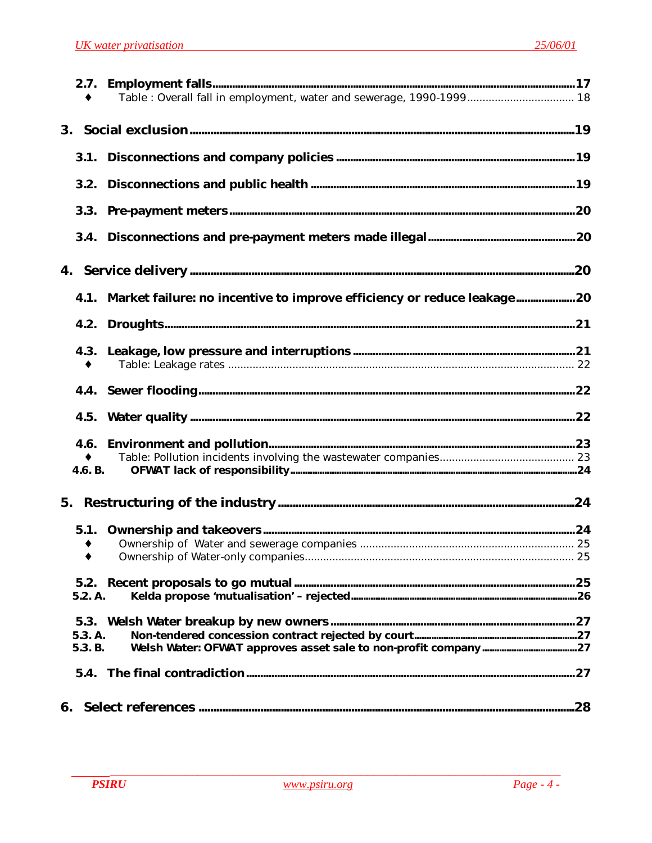| 3.        |                                                                             |  |
|-----------|-----------------------------------------------------------------------------|--|
| 3.1.      |                                                                             |  |
| 3.2.      |                                                                             |  |
|           |                                                                             |  |
|           |                                                                             |  |
| 4.        |                                                                             |  |
|           | 4.1. Market failure: no incentive to improve efficiency or reduce leakage20 |  |
| 4.2.      |                                                                             |  |
| ٠         |                                                                             |  |
|           |                                                                             |  |
| 4.5.      |                                                                             |  |
|           |                                                                             |  |
|           |                                                                             |  |
| 4.6. B.   |                                                                             |  |
|           |                                                                             |  |
| 5.1.      |                                                                             |  |
| $\bullet$ |                                                                             |  |
| ٠         |                                                                             |  |
| 5.2.      |                                                                             |  |
| 5.2. A.   |                                                                             |  |
| 5.3.      |                                                                             |  |
| 5.3. A.   |                                                                             |  |
| 5.3. B.   |                                                                             |  |
| 5.4.      |                                                                             |  |
|           |                                                                             |  |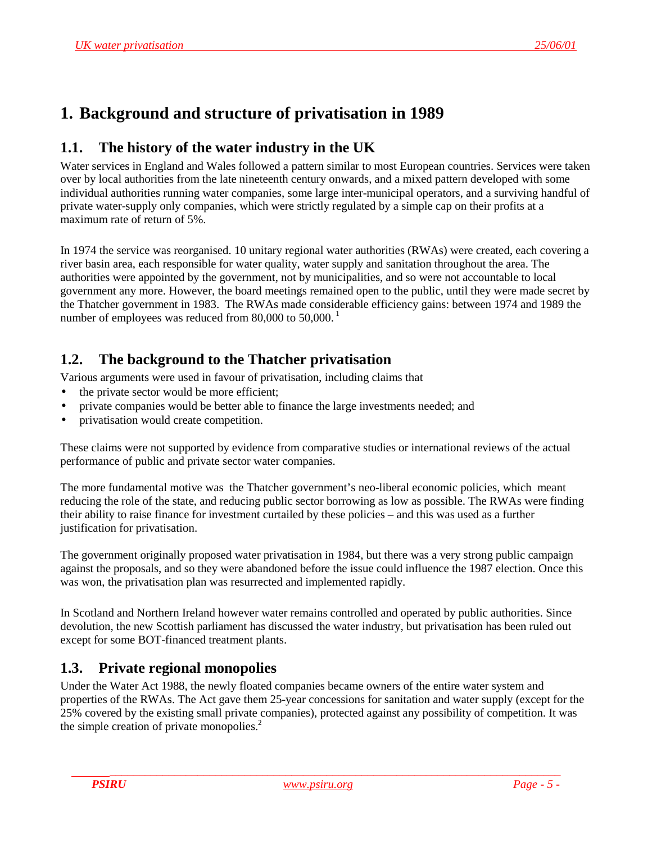# <span id="page-4-0"></span>**1. Background and structure of privatisation in 1989**

# **1.1. The history of the water industry in the UK**

Water services in England and Wales followed a pattern similar to most European countries. Services were taken over by local authorities from the late nineteenth century onwards, and a mixed pattern developed with some individual authorities running water companies, some large inter-municipal operators, and a surviving handful of private water-supply only companies, which were strictly regulated by a simple cap on their profits at a maximum rate of return of 5%.

In 1974 the service was reorganised. 10 unitary regional water authorities (RWAs) were created, each covering a river basin area, each responsible for water quality, water supply and sanitation throughout the area. The authorities were appointed by the government, not by municipalities, and so were not accountable to local government any more. However, the board meetings remained open to the public, until they were made secret by the Thatcher government in 1983. The RWAs made considerable efficiency gains: between 1974 and 1989 the number of employees was reduced from 80,000 to  $50,000$ .<sup>1</sup>

# **1.2. The background to the Thatcher privatisation**

Various arguments were used in favour of privatisation, including claims that

- the private sector would be more efficient;
- private companies would be better able to finance the large investments needed; and
- privatisation would create competition.

These claims were not supported by evidence from comparative studies or international reviews of the actual performance of public and private sector water companies.

The more fundamental motive was the Thatcher government's neo-liberal economic policies, which meant reducing the role of the state, and reducing public sector borrowing as low as possible. The RWAs were finding their ability to raise finance for investment curtailed by these policies – and this was used as a further justification for privatisation.

The government originally proposed water privatisation in 1984, but there was a very strong public campaign against the proposals, and so they were abandoned before the issue could influence the 1987 election. Once this was won, the privatisation plan was resurrected and implemented rapidly.

In Scotland and Northern Ireland however water remains controlled and operated by public authorities. Since devolution, the new Scottish parliament has discussed the water industry, but privatisation has been ruled out except for some BOT-financed treatment plants.

# **1.3. Private regional monopolies**

Under the Water Act 1988, the newly floated companies became owners of the entire water system and properties of the RWAs. The Act gave them 25-year concessions for sanitation and water supply (except for the 25% covered by the existing small private companies), protected against any possibility of competition. It was the simple creation of private monopolies.<sup>2</sup>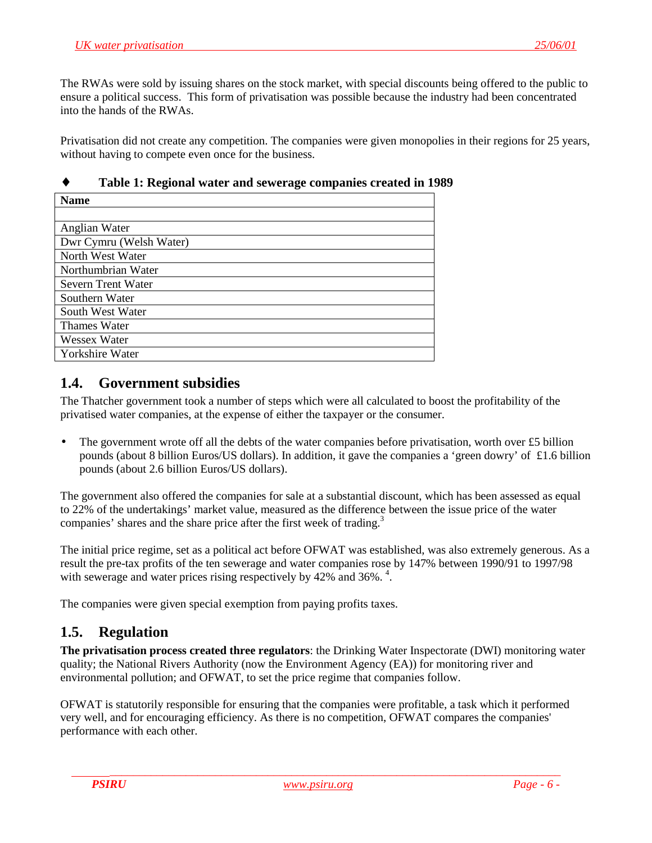<span id="page-5-0"></span>The RWAs were sold by issuing shares on the stock market, with special discounts being offered to the public to ensure a political success. This form of privatisation was possible because the industry had been concentrated into the hands of the RWAs.

Privatisation did not create any competition. The companies were given monopolies in their regions for 25 years, without having to compete even once for the business.

| Table 1: Regional water and sewerage companies created in 198 |
|---------------------------------------------------------------|
| <b>Name</b>                                                   |
|                                                               |
| Anglian Water                                                 |
| Dwr Cymru (Welsh Water)                                       |
| North West Water                                              |
| Northumbrian Water                                            |
| Severn Trent Water                                            |
| Southern Water                                                |
| South West Water                                              |
| Thames Water                                                  |

|  | Table 1: Regional water and sewerage companies created in 1989 |  |  |  |  |  |
|--|----------------------------------------------------------------|--|--|--|--|--|
|--|----------------------------------------------------------------|--|--|--|--|--|

## **1.4. Government subsidies**

Wessex Water Yorkshire Water

The Thatcher government took a number of steps which were all calculated to boost the profitability of the privatised water companies, at the expense of either the taxpayer or the consumer.

The government wrote off all the debts of the water companies before privatisation, worth over £5 billion pounds (about 8 billion Euros/US dollars). In addition, it gave the companies a 'green dowry' of £1.6 billion pounds (about 2.6 billion Euros/US dollars).

The government also offered the companies for sale at a substantial discount, which has been assessed as equal to 22% of the undertakings' market value, measured as the difference between the issue price of the water companies' shares and the share price after the first week of trading.<sup>3</sup>

The initial price regime, set as a political act before OFWAT was established, was also extremely generous. As a result the pre-tax profits of the ten sewerage and water companies rose by 147% between 1990/91 to 1997/98 with sewerage and water prices rising respectively by 42% and 36%.<sup>4</sup>.

The companies were given special exemption from paying profits taxes.

## **1.5. Regulation**

**The privatisation process created three regulators**: the Drinking Water Inspectorate (DWI) monitoring water quality; the National Rivers Authority (now the Environment Agency (EA)) for monitoring river and environmental pollution; and OFWAT, to set the price regime that companies follow.

OFWAT is statutorily responsible for ensuring that the companies were profitable, a task which it performed very well, and for encouraging efficiency. As there is no competition, OFWAT compares the companies' performance with each other.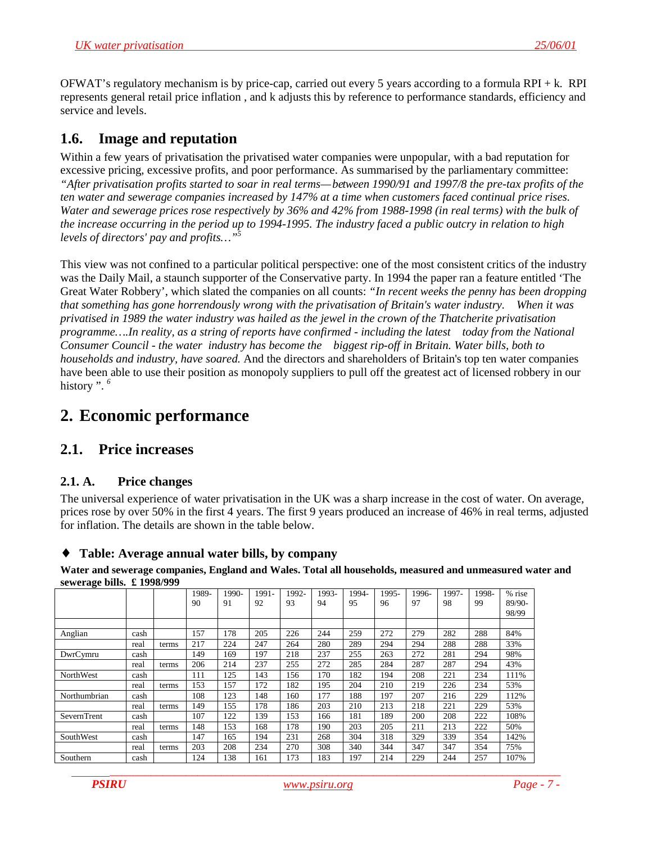<span id="page-6-0"></span>OFWAT's regulatory mechanism is by price-cap, carried out every 5 years according to a formula RPI + k. RPI represents general retail price inflation , and k adjusts this by reference to performance standards, efficiency and service and levels.

# **1.6. Image and reputation**

Within a few years of privatisation the privatised water companies were unpopular, with a bad reputation for excessive pricing, excessive profits, and poor performance. As summarised by the parliamentary committee: *"After privatisation profits started to soar in real terms—between 1990/91 and 1997/8 the pre-tax profits of the ten water and sewerage companies increased by 147% at a time when customers faced continual price rises. Water and sewerage prices rose respectively by 36% and 42% from 1988-1998 (in real terms) with the bulk of the increase occurring in the period up to 1994-1995. The industry faced a public outcry in relation to high levels of directors' pay and profits...*"

This view was not confined to a particular political perspective: one of the most consistent critics of the industry was the Daily Mail, a staunch supporter of the Conservative party. In 1994 the paper ran a feature entitled 'The Great Water Robbery', which slated the companies on all counts: *"In recent weeks the penny has been dropping that something has gone horrendously wrong with the privatisation of Britain's water industry. When it was privatised in 1989 the water industry was hailed as the jewel in the crown of the Thatcherite privatisation programme….In reality, as a string of reports have confirmed - including the latest today from the National Consumer Council - the water industry has become the biggest rip-off in Britain. Water bills, both to households and industry, have soared.* And the directors and shareholders of Britain's top ten water companies have been able to use their position as monopoly suppliers to pull off the greatest act of licensed robbery in our history". <sup>6</sup>

# **2. Economic performance**

# **2.1. Price increases**

## **2.1. A. Price changes**

The universal experience of water privatisation in the UK was a sharp increase in the cost of water. On average, prices rose by over 50% in the first 4 years. The first 9 years produced an increase of 46% in real terms, adjusted for inflation. The details are shown in the table below.

#### ♦ **Table: Average annual water bills, by company**

**Water and sewerage companies, England and Wales. Total all households, measured and unmeasured water and sewerage bills. £ 1998/999**

|                  |      |       | 1989- | 1990- | 1991- | 1992- | 1993- | 1994- | 1995- | 1996- | 1997- | 1998- | % rise |
|------------------|------|-------|-------|-------|-------|-------|-------|-------|-------|-------|-------|-------|--------|
|                  |      |       | 90    | 91    | 92    | 93    | 94    | 95    | 96    | 97    | 98    | 99    | 89/90- |
|                  |      |       |       |       |       |       |       |       |       |       |       |       | 98/99  |
|                  |      |       |       |       |       |       |       |       |       |       |       |       |        |
| Anglian          | cash |       | 157   | 178   | 205   | 226   | 244   | 259   | 272   | 279   | 282   | 288   | 84%    |
|                  | real | terms | 217   | 224   | 247   | 264   | 280   | 289   | 294   | 294   | 288   | 288   | 33%    |
| DwrCymru         | cash |       | 149   | 169   | 197   | 218   | 237   | 255   | 263   | 272   | 281   | 294   | 98%    |
|                  | real | terms | 206   | 214   | 237   | 255   | 272   | 285   | 284   | 287   | 287   | 294   | 43%    |
| <b>NorthWest</b> | cash |       | 111   | 125   | 143   | 156   | 170   | 182   | 194   | 208   | 221   | 234   | 111%   |
|                  | real | terms | 153   | 157   | 172   | 182   | 195   | 204   | 210   | 219   | 226   | 234   | 53%    |
| Northumbrian     | cash |       | 108   | 123   | 148   | 160   | 177   | 188   | 197   | 207   | 216   | 229   | 112%   |
|                  | real | terms | 149   | 155   | 178   | 186   | 203   | 210   | 213   | 218   | 221   | 229   | 53%    |
| SevernTrent      | cash |       | 107   | 122   | 139   | 153   | 166   | 181   | 189   | 200   | 208   | 222   | 108%   |
|                  | real | terms | 148   | 153   | 168   | 178   | 190   | 203   | 205   | 211   | 213   | 222   | 50%    |
| SouthWest        | cash |       | 147   | 165   | 194   | 231   | 268   | 304   | 318   | 329   | 339   | 354   | 142%   |
|                  | real | terms | 203   | 208   | 234   | 270   | 308   | 340   | 344   | 347   | 347   | 354   | 75%    |
| Southern         | cash |       | 124   | 138   | 161   | 173   | 183   | 197   | 214   | 229   | 244   | 257   | 107%   |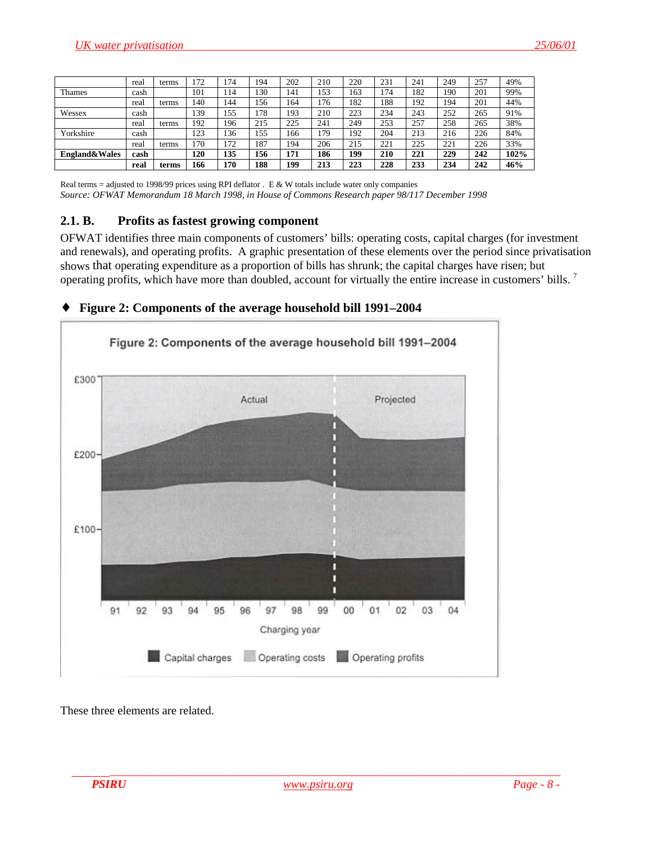<span id="page-7-0"></span>

|                          | real | terms | 172  | 74  | 194 | 202 | 210 | 220 | 231 | 241 | 249 | 257 | 49%  |
|--------------------------|------|-------|------|-----|-----|-----|-----|-----|-----|-----|-----|-----|------|
| <b>Thames</b>            | cash |       | 101  | 14  | .30 | 141 | 153 | 163 | 74  | 182 | 190 | 201 | 99%  |
|                          | real | terms | 140  | 44  | .56 | 164 | 176 | 182 | 188 | 192 | 194 | 201 | 44%  |
| Wessex                   | cash |       | 139  | .55 | 178 | 193 | 210 | 223 | 234 | 243 | 252 | 265 | 91%  |
|                          | real | terms | 192  | '96 | 215 | 225 | 241 | 249 | 253 | 257 | 258 | 265 | 38%  |
| Yorkshire                | cash |       | 123  | 36  | 155 | 166 | .79 | 192 | 204 | 213 | 216 | 226 | 84%  |
|                          | real | terms | l 70 | 72  | 187 | 194 | 206 | 215 | 221 | 225 | 221 | 226 | 33%  |
| <b>England&amp;Wales</b> | cash |       | 120  | 135 | 156 | 171 | 186 | 199 | 210 | 221 | 229 | 242 | 102% |
|                          | real | terms | 166  | 170 | 188 | 199 | 213 | 223 | 228 | 233 | 234 | 242 | 46%  |

Real terms = adjusted to 1998/99 prices using RPI deflator . E & W totals include water only companies *Source: OFWAT Memorandum 18 March 1998, in House of Commons Research paper 98/117 December 1998*

#### **2.1. B. Profits as fastest growing component**

OFWAT identifies three main components of customers' bills: operating costs, capital charges (for investment and renewals), and operating profits. A graphic presentation of these elements over the period since privatisation shows that operating expenditure as a proportion of bills has shrunk; the capital charges have risen; but operating profits, which have more than doubled, account for virtually the entire increase in customers' bills.<sup>7</sup>

#### ♦ **Figure 2: Components of the average household bill 1991–2004**



These three elements are related.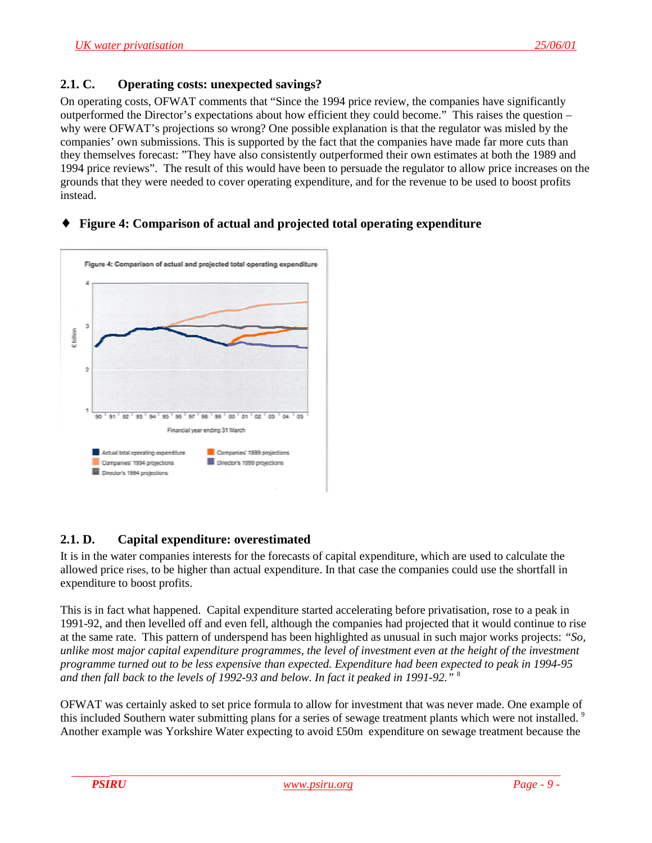#### <span id="page-8-0"></span>**2.1. C. Operating costs: unexpected savings?**

On operating costs, OFWAT comments that "Since the 1994 price review, the companies have significantly outperformed the Director's expectations about how efficient they could become." This raises the question – why were OFWAT's projections so wrong? One possible explanation is that the regulator was misled by the companies' own submissions. This is supported by the fact that the companies have made far more cuts than they themselves forecast: "They have also consistently outperformed their own estimates at both the 1989 and 1994 price reviews". The result of this would have been to persuade the regulator to allow price increases on the grounds that they were needed to cover operating expenditure, and for the revenue to be used to boost profits instead.

### ♦ **Figure 4: Comparison of actual and projected total operating expenditure**



## **2.1. D. Capital expenditure: overestimated**

It is in the water companies interests for the forecasts of capital expenditure, which are used to calculate the allowed price rises, to be higher than actual expenditure. In that case the companies could use the shortfall in expenditure to boost profits.

This is in fact what happened. Capital expenditure started accelerating before privatisation, rose to a peak in 1991-92, and then levelled off and even fell, although the companies had projected that it would continue to rise at the same rate. This pattern of underspend has been highlighted as unusual in such major works projects: *"So, unlike most major capital expenditure programmes, the level of investment even at the height of the investment programme turned out to be less expensive than expected. Expenditure had been expected to peak in 1994-95 and then fall back to the levels of 1992-93 and below. In fact it peaked in 1991-92."* <sup>8</sup>

OFWAT was certainly asked to set price formula to allow for investment that was never made. One example of this included Southern water submitting plans for a series of sewage treatment plants which were not installed.<sup>9</sup> Another example was Yorkshire Water expecting to avoid £50m expenditure on sewage treatment because the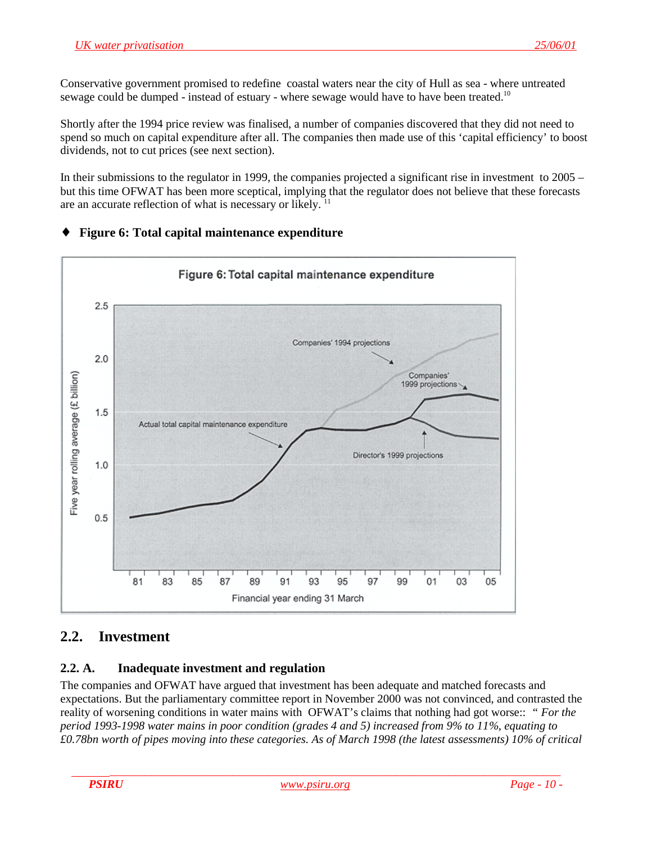<span id="page-9-0"></span>Conservative government promised to redefine coastal waters near the city of Hull as sea - where untreated sewage could be dumped - instead of estuary - where sewage would have to have been treated.<sup>10</sup>

Shortly after the 1994 price review was finalised, a number of companies discovered that they did not need to spend so much on capital expenditure after all. The companies then made use of this 'capital efficiency' to boost dividends, not to cut prices (see next section).

In their submissions to the regulator in 1999, the companies projected a significant rise in investment to 2005 – but this time OFWAT has been more sceptical, implying that the regulator does not believe that these forecasts are an accurate reflection of what is necessary or likely.<sup>11</sup>



## ♦ **Figure 6: Total capital maintenance expenditure**

# **2.2. Investment**

#### **2.2. A. Inadequate investment and regulation**

The companies and OFWAT have argued that investment has been adequate and matched forecasts and expectations. But the parliamentary committee report in November 2000 was not convinced, and contrasted the reality of worsening conditions in water mains with OFWAT's claims that nothing had got worse:: *" For the period 1993-1998 water mains in poor condition (grades 4 and 5) increased from 9% to 11%, equating to £0.78bn worth of pipes moving into these categories. As of March 1998 (the latest assessments) 10% of critical*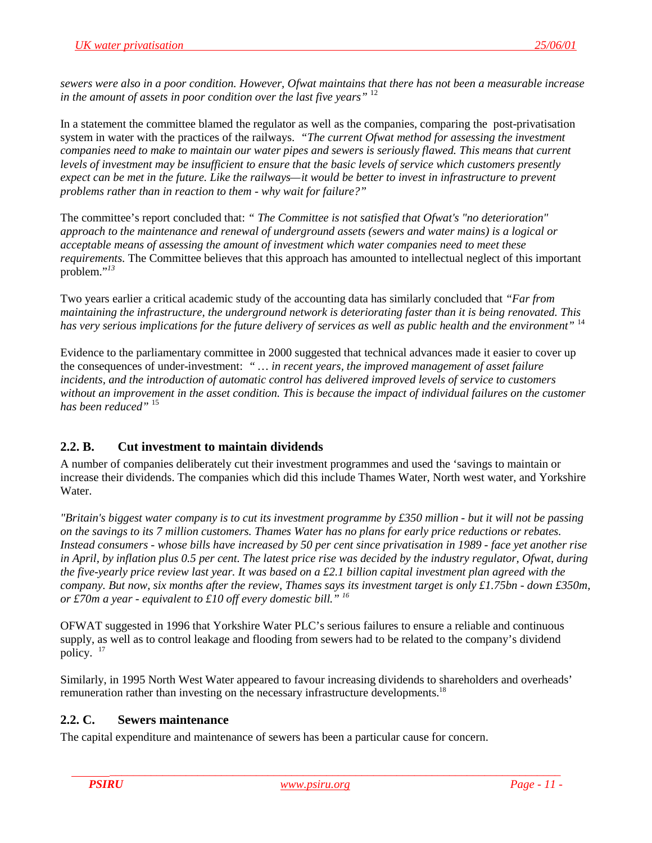<span id="page-10-0"></span>*sewers were also in a poor condition. However, Ofwat maintains that there has not been a measurable increase in the amount of assets in poor condition over the last five years"* <sup>12</sup>

In a statement the committee blamed the regulator as well as the companies, comparing the post-privatisation system in water with the practices of the railways. *"The current Ofwat method for assessing the investment companies need to make to maintain our water pipes and sewers is seriously flawed. This means that current levels of investment may be insufficient to ensure that the basic levels of service which customers presently expect can be met in the future. Like the railways—it would be better to invest in infrastructure to prevent problems rather than in reaction to them - why wait for failure?"*

The committee's report concluded that: *" The Committee is not satisfied that Ofwat's "no deterioration" approach to the maintenance and renewal of underground assets (sewers and water mains) is a logical or acceptable means of assessing the amount of investment which water companies need to meet these requirements.* The Committee believes that this approach has amounted to intellectual neglect of this important problem."*<sup>13</sup>*

Two years earlier a critical academic study of the accounting data has similarly concluded that *"Far from maintaining the infrastructure, the underground network is deteriorating faster than it is being renovated. This has very serious implications for the future delivery of services as well as public health and the environment"* <sup>14</sup>

Evidence to the parliamentary committee in 2000 suggested that technical advances made it easier to cover up the consequences of under-investment: *" … in recent years, the improved management of asset failure incidents, and the introduction of automatic control has delivered improved levels of service to customers without an improvement in the asset condition. This is because the impact of individual failures on the customer has been reduced"* <sup>15</sup>

## **2.2. B. Cut investment to maintain dividends**

A number of companies deliberately cut their investment programmes and used the 'savings to maintain or increase their dividends. The companies which did this include Thames Water, North west water, and Yorkshire Water.

*"Britain's biggest water company is to cut its investment programme by £350 million - but it will not be passing on the savings to its 7 million customers. Thames Water has no plans for early price reductions or rebates. Instead consumers - whose bills have increased by 50 per cent since privatisation in 1989 - face yet another rise in April, by inflation plus 0.5 per cent. The latest price rise was decided by the industry regulator, Ofwat, during the five-yearly price review last year. It was based on a £2.1 billion capital investment plan agreed with the company. But now, six months after the review, Thames says its investment target is only £1.75bn - down £350m, or £70m a year - equivalent to £10 off every domestic bill." 16*

OFWAT suggested in 1996 that Yorkshire Water PLC's serious failures to ensure a reliable and continuous supply, as well as to control leakage and flooding from sewers had to be related to the company's dividend policy. 17

Similarly, in 1995 North West Water appeared to favour increasing dividends to shareholders and overheads' remuneration rather than investing on the necessary infrastructure developments.18

#### **2.2. C. Sewers maintenance**

The capital expenditure and maintenance of sewers has been a particular cause for concern.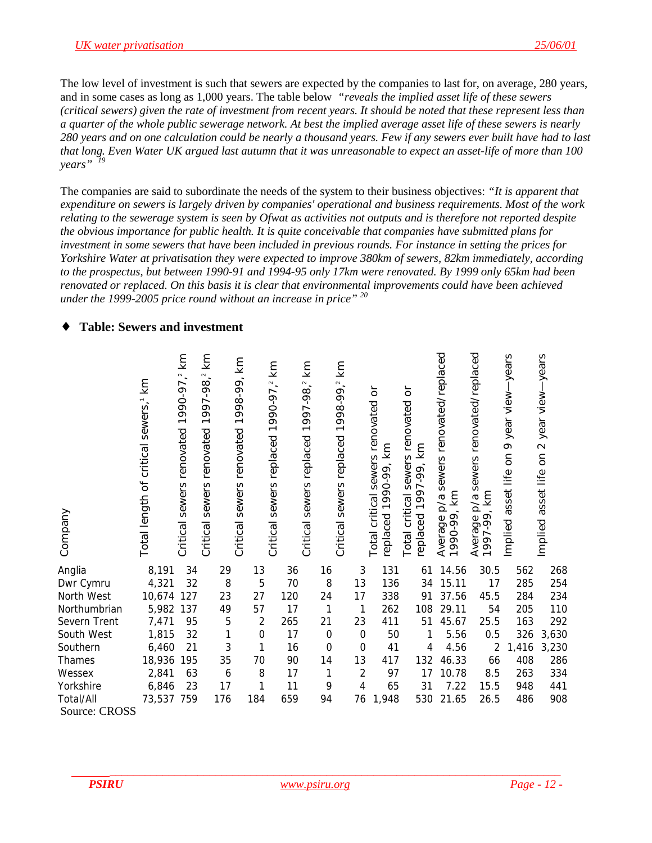<span id="page-11-0"></span>The low level of investment is such that sewers are expected by the companies to last for, on average, 280 years, and in some cases as long as 1,000 years. The table below *"reveals the implied asset life of these sewers (critical sewers) given the rate of investment from recent years. It should be noted that these represent less than a quarter of the whole public sewerage network. At best the implied average asset life of these sewers is nearly 280 years and on one calculation could be nearly a thousand years. Few if any sewers ever built have had to last that long. Even Water UK argued last autumn that it was unreasonable to expect an asset-life of more than 100 years" <sup>19</sup>*

The companies are said to subordinate the needs of the system to their business objectives: *"It is apparent that expenditure on sewers is largely driven by companies' operational and business requirements. Most of the work relating to the sewerage system is seen by Ofwat as activities not outputs and is therefore not reported despite the obvious importance for public health. It is quite conceivable that companies have submitted plans for investment in some sewers that have been included in previous rounds. For instance in setting the prices for Yorkshire Water at privatisation they were expected to improve 380km of sewers, 82km immediately, according to the prospectus, but between 1990-91 and 1994-95 only 17km were renovated. By 1999 only 65km had been renovated or replaced. On this basis it is clear that environmental improvements could have been achieved under the 1999-2005 price round without an increase in price" 20*

### **Table: Sewers and investment**

| Company       | Total length of critical sewers, <sup>1</sup> km | 1990-97, <sup>2</sup> km<br>sewers renovated<br>Critical | km<br>$\sim$<br>997-98<br>$\overline{\phantom{0}}$<br>sewers renovated<br>Critical | km<br>1998-99,<br>Critical sewers renovated | km<br>990-97,2<br>$\overline{\phantom{0}}$<br>replaced<br>sewers<br>Critical |     | km<br>$\sim$ .<br>1997-98<br>Critical sewers replaced | km<br>1998-99,2<br>replaced<br>sewers<br>Critical |                | $\overline{d}$<br>Total critical sewers renovated<br>replaced 1990-99, km | $\overleftarrow{\mathrm{o}}$<br>renovated<br>km<br>tical sewers ı<br>  1997-99, kr<br>critical<br>replaced<br>Total | sewers renovated/replaced<br>1990-99, km<br>$\mathsf{p}/\mathsf{q}$<br>Average | renovated/replaced<br>sewers<br>km<br>$\mathsf{p}/\mathsf{a}$<br>Average<br>1997-99, | -years<br>year view-<br>$\circ$<br>δ<br>asset life<br>Implied | -years<br>year view-<br>$\sim$<br>asset life on<br>Implied |
|---------------|--------------------------------------------------|----------------------------------------------------------|------------------------------------------------------------------------------------|---------------------------------------------|------------------------------------------------------------------------------|-----|-------------------------------------------------------|---------------------------------------------------|----------------|---------------------------------------------------------------------------|---------------------------------------------------------------------------------------------------------------------|--------------------------------------------------------------------------------|--------------------------------------------------------------------------------------|---------------------------------------------------------------|------------------------------------------------------------|
| Anglia        | 8,191                                            | 34                                                       | 29                                                                                 |                                             | 13                                                                           | 36  |                                                       | 16                                                | 3              | 131                                                                       | 61                                                                                                                  | 14.56                                                                          | 30.5                                                                                 | 562                                                           | 268                                                        |
| Dwr Cymru     | 4,321                                            | 32                                                       | 8                                                                                  |                                             | 5                                                                            | 70  |                                                       | 8                                                 | 13             | 136                                                                       | 34                                                                                                                  | 15.11                                                                          | 17                                                                                   | 285                                                           | 254                                                        |
| North West    | 10,674                                           | 127                                                      | 23                                                                                 |                                             | 27                                                                           | 120 |                                                       | 24                                                | 17             | 338                                                                       | 91                                                                                                                  | 37.56                                                                          | 45.5                                                                                 | 284                                                           | 234                                                        |
| Northumbrian  | 5,982                                            | 137                                                      | 49                                                                                 |                                             | 57                                                                           | 17  |                                                       | 1                                                 | 1              | 262                                                                       | 108                                                                                                                 | 29.11                                                                          | 54                                                                                   | 205                                                           | 110                                                        |
| Severn Trent  | 7,471                                            | 95                                                       | $\overline{5}$                                                                     |                                             | $\overline{2}$                                                               | 265 |                                                       | 21                                                | 23             | 411                                                                       | 51                                                                                                                  | 45.67                                                                          | 25.5                                                                                 | 163                                                           | 292                                                        |
| South West    | 1,815                                            | 32                                                       | 1                                                                                  |                                             | $\mathbf 0$                                                                  | 17  |                                                       | $\mathbf 0$                                       | $\mathbf 0$    | 50                                                                        | 1                                                                                                                   | 5.56                                                                           | 0.5                                                                                  | 326                                                           | 3,630                                                      |
| Southern      | 6,460                                            | 21                                                       | 3                                                                                  |                                             | 1                                                                            | 16  |                                                       | $\overline{0}$                                    | $\mathbf 0$    | 41                                                                        | 4                                                                                                                   | 4.56                                                                           | $\overline{2}$                                                                       | 1,416                                                         | 3,230                                                      |
| Thames        | 18,936                                           | 195                                                      | 35                                                                                 |                                             | 70                                                                           | 90  |                                                       | 14                                                | 13             | 417                                                                       | 132                                                                                                                 | 46.33                                                                          | 66                                                                                   | 408                                                           | 286                                                        |
| Wessex        | 2,841                                            | 63                                                       | 6                                                                                  |                                             | 8                                                                            | 17  |                                                       | 1                                                 | $\overline{2}$ | 97                                                                        | 17                                                                                                                  | 10.78                                                                          | 8.5                                                                                  | 263                                                           | 334                                                        |
| Yorkshire     | 6,846                                            | 23                                                       | 17                                                                                 |                                             | 1                                                                            | 11  |                                                       | 9                                                 | 4              | 65                                                                        | 31                                                                                                                  | 7.22                                                                           | 15.5                                                                                 | 948                                                           | 441                                                        |
| Total/All     | 73,537                                           | 759                                                      | 176                                                                                |                                             | 184                                                                          | 659 |                                                       | 94                                                | 76             | 1,948                                                                     | 530                                                                                                                 | 21.65                                                                          | 26.5                                                                                 | 486                                                           | 908                                                        |
| Source: CROSS |                                                  |                                                          |                                                                                    |                                             |                                                                              |     |                                                       |                                                   |                |                                                                           |                                                                                                                     |                                                                                |                                                                                      |                                                               |                                                            |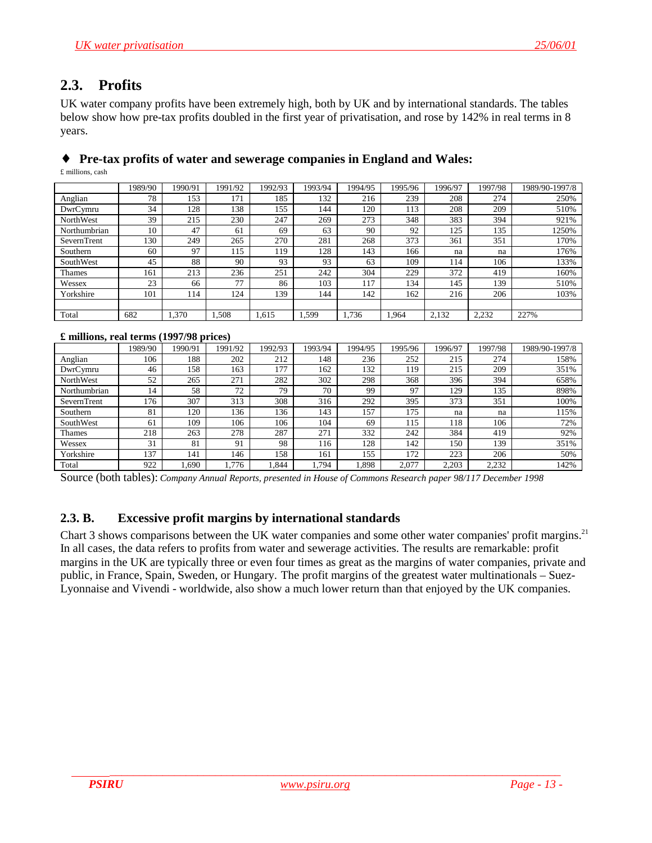# <span id="page-12-0"></span>**2.3. Profits**

UK water company profits have been extremely high, both by UK and by international standards. The tables below show how pre-tax profits doubled in the first year of privatisation, and rose by 142% in real terms in 8 years.

# ♦ **Pre-tax profits of water and sewerage companies in England and Wales:**

£ millions, cash

|              | 1989/90 | 1990/91 | 1991/92 | 1992/93 | 1993/94 | 1994/95 | 1995/96 | 1996/97 | 1997/98 | 1989/90-1997/8 |
|--------------|---------|---------|---------|---------|---------|---------|---------|---------|---------|----------------|
| Anglian      | 78      | 153     | 171     | 185     | 132     | 216     | 239     | 208     | 274     | 250%           |
| DwrCymru     | 34      | 128     | 138     | 155     | 144     | 120     | 113     | 208     | 209     | 510%           |
| NorthWest    | 39      | 215     | 230     | 247     | 269     | 273     | 348     | 383     | 394     | 921%           |
| Northumbrian | 10      | 47      | 61      | 69      | 63      | 90      | 92      | 125     | 135     | 1250%          |
| SevernTrent  | 130     | 249     | 265     | 270     | 281     | 268     | 373     | 361     | 351     | 170%           |
| Southern     | 60      | 97      | 115     | 119     | 128     | 143     | 166     | na      | na      | 176%           |
| SouthWest    | 45      | 88      | 90      | 93      | 93      | 63      | 109     | 114     | 106     | 133%           |
| Thames       | 161     | 213     | 236     | 251     | 242     | 304     | 229     | 372     | 419     | 160%           |
| Wessex       | 23      | 66      | 77      | 86      | 103     | 117     | 134     | 145     | 139     | 510%           |
| Yorkshire    | 101     | 114     | 124     | 139     | 144     | 142     | 162     | 216     | 206     | 103%           |
|              |         |         |         |         |         |         |         |         |         |                |
| Total        | 682     | 1,370   | .508    | 1.615   | 1.599   | 1.736   | 1.964   | 2,132   | 2,232   | 227%           |

#### **£ millions, real terms (1997/98 prices)**

|              | 1989/90 | 1990/91 | 1991/92 | 1992/93 | 1993/94 | 1994/95 | 1995/96 | 1996/97 | 1997/98 | 1989/90-1997/8 |
|--------------|---------|---------|---------|---------|---------|---------|---------|---------|---------|----------------|
| Anglian      | 106     | 188     | 202     | 212     | 148     | 236     | 252     | 215     | 274     | 158%           |
| DwrCymru     | 46      | 158     | 163     | 177     | 162     | 132     | 119     | 215     | 209     | 351%           |
| NorthWest    | 52      | 265     | 271     | 282     | 302     | 298     | 368     | 396     | 394     | 658%           |
| Northumbrian | 14      | 58      | 72      | 79      | 70      | -99     | 97      | 129     | 135     | 898%           |
| SevernTrent  | 176     | 307     | 313     | 308     | 316     | 292     | 395     | 373     | 351     | 100%           |
| Southern     | 81      | 120     | 136     | 136     | 143     | 157     | 175     | na      | na      | 115%           |
| SouthWest    | 61      | 109     | 106     | 106     | 104     | 69      | 115     | 118     | 106     | 72%            |
| Thames       | 218     | 263     | 278     | 287     | 271     | 332     | 242     | 384     | 419     | 92%            |
| Wessex       | 31      | 81      | 91      | 98      | 116     | 128     | 142     | 150     | 139     | 351%           |
| Yorkshire    | 137     | 141     | 146     | 158     | 161     | 155     | 172     | 223     | 206     | 50%            |
| Total        | 922     | 1.690   | 1.776   | .844    | .794    | 1,898   | 2.077   | 2.203   | 2,232   | 142%           |

Source (both tables): *Company Annual Reports, presented in House of Commons Research paper 98/117 December 1998*

#### **2.3. B. Excessive profit margins by international standards**

Chart 3 shows comparisons between the UK water companies and some other water companies' profit margins.<sup>21</sup> In all cases, the data refers to profits from water and sewerage activities. The results are remarkable: profit margins in the UK are typically three or even four times as great as the margins of water companies, private and public, in France, Spain, Sweden, or Hungary. The profit margins of the greatest water multinationals – Suez-Lyonnaise and Vivendi - worldwide, also show a much lower return than that enjoyed by the UK companies.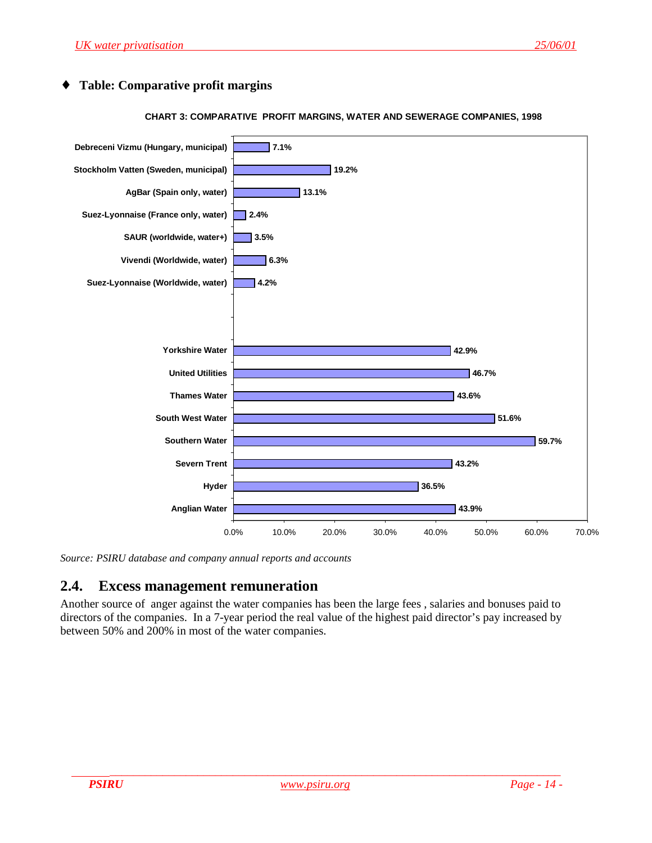#### <span id="page-13-0"></span>**Table: Comparative profit margins**

#### **CHART 3: COMPARATIVE PROFIT MARGINS, WATER AND SEWERAGE COMPANIES, 1998**



*Source: PSIRU database and company annual reports and accounts*

#### **2.4. Excess management remuneration**

Another source of anger against the water companies has been the large fees , salaries and bonuses paid to directors of the companies. In a 7-year period the real value of the highest paid director's pay increased by between 50% and 200% in most of the water companies.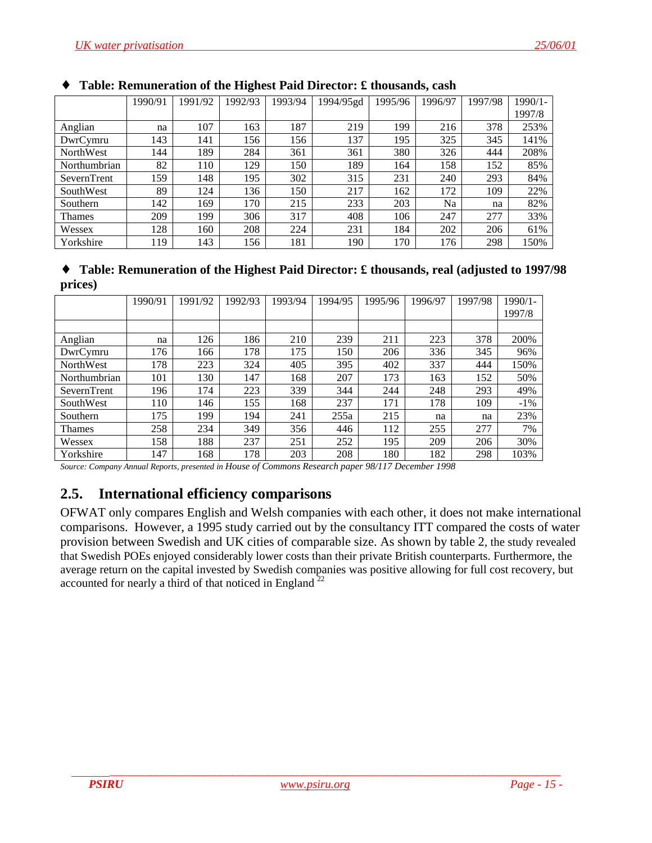|                  | 1990/91 | 1991/92 | 1992/93 | 1993/94 | 1994/95gd | 1995/96 | 1996/97 | 1997/98 | $1990/1 -$ |
|------------------|---------|---------|---------|---------|-----------|---------|---------|---------|------------|
|                  |         |         |         |         |           |         |         |         | 1997/8     |
| Anglian          | na      | 107     | 163     | 87      | 219       | 199     | 216     | 378     | 253%       |
| DwrCymru         | 143     | 141     | 156     | 156     | 137       | 195     | 325     | 345     | 141%       |
| <b>NorthWest</b> | 144     | 189     | 284     | 361     | 361       | 380     | 326     | 444     | 208%       |
| Northumbrian     | 82      | 110     | 129     | 150     | 189       | 164     | 158     | 152     | 85%        |
| SevernTrent      | 159     | 148     | 195     | 302     | 315       | 231     | 240     | 293     | 84%        |
| SouthWest        | 89      | 124     | 136     | 150     | 217       | 162     | 172     | 109     | 22%        |
| Southern         | 142     | 169     | 170     | 215     | 233       | 203     | Na      | na      | 82%        |
| <b>Thames</b>    | 209     | 199     | 306     | 317     | 408       | 106     | 247     | 277     | 33%        |
| Wessex           | 128     | 160     | 208     | 224     | 231       | 184     | 202     | 206     | 61%        |
| Yorkshire        | 119     | 143     | 156     | 181     | 190       | 170     | 176     | 298     | 150%       |

### <span id="page-14-0"></span>♦ **Table: Remuneration of the Highest Paid Director: £ thousands, cash**

| • Table: Remuneration of the Highest Paid Director: £ thousands, real (adjusted to 1997/98) |
|---------------------------------------------------------------------------------------------|
| prices)                                                                                     |

|                  | 1990/91 | 1991/92 | 1992/93 | 1993/94 | 1994/95 | 1995/96 | 1996/97 | 1997/98 | $1990/1 -$ |
|------------------|---------|---------|---------|---------|---------|---------|---------|---------|------------|
|                  |         |         |         |         |         |         |         |         | 1997/8     |
|                  |         |         |         |         |         |         |         |         |            |
| Anglian          | na      | 126     | 186     | 210     | 239     | 211     | 223     | 378     | 200%       |
| DwrCymru         | 176     | 166     | 178     | 175     | 150     | 206     | 336     | 345     | 96%        |
| <b>NorthWest</b> | 178     | 223     | 324     | 405     | 395     | 402     | 337     | 444     | 150%       |
| Northumbrian     | 101     | 130     | 147     | 168     | 207     | 173     | 163     | 152     | 50%        |
| SevernTrent      | 196     | 174     | 223     | 339     | 344     | 244     | 248     | 293     | 49%        |
| SouthWest        | 110     | 146     | 155     | 168     | 237     | 171     | 178     | 109     | $-1\%$     |
| Southern         | 175     | 199     | 194     | 241     | 255a    | 215     | na      | na      | 23%        |
| <b>Thames</b>    | 258     | 234     | 349     | 356     | 446     | 112     | 255     | 277     | 7%         |
| Wessex           | 158     | 188     | 237     | 251     | 252     | 195     | 209     | 206     | 30%        |
| Yorkshire        | 147     | 168     | 178     | 203     | 208     | 180     | 182     | 298     | 103%       |

*Source: Company Annual Reports, presented in House of Commons Research paper 98/117 December 1998*

# **2.5. International efficiency comparisons**

OFWAT only compares English and Welsh companies with each other, it does not make international comparisons. However, a 1995 study carried out by the consultancy ITT compared the costs of water provision between Swedish and UK cities of comparable size. As shown by table 2, the study revealed that Swedish POEs enjoyed considerably lower costs than their private British counterparts. Furthermore, the average return on the capital invested by Swedish companies was positive allowing for full cost recovery, but accounted for nearly a third of that noticed in England  $^{22}$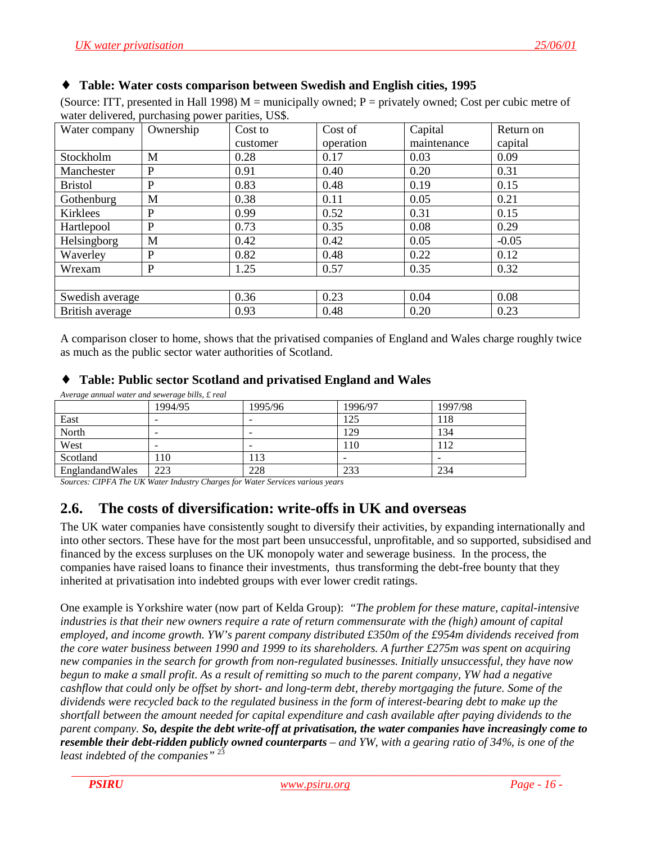#### <span id="page-15-0"></span>♦ **Table: Water costs comparison between Swedish and English cities, 1995**

(Source: ITT, presented in Hall 1998)  $M =$  municipally owned; P = privately owned; Cost per cubic metre of water delivered, purchasing power parities, US\$.

| Water company   | ັ້<br>Ownership | Cost to  | Cost of   | Capital     | Return on |  |
|-----------------|-----------------|----------|-----------|-------------|-----------|--|
|                 |                 | customer | operation | maintenance | capital   |  |
| Stockholm       | M               | 0.28     | 0.17      | 0.03        | 0.09      |  |
| Manchester      | P               | 0.91     | 0.40      | 0.20        | 0.31      |  |
| <b>Bristol</b>  | P               | 0.83     | 0.48      | 0.19        | 0.15      |  |
| Gothenburg      | M               | 0.38     | 0.11      | 0.05        | 0.21      |  |
| Kirklees        | P               | 0.99     | 0.52      | 0.31        | 0.15      |  |
| Hartlepool      | P               | 0.73     | 0.35      | 0.08        | 0.29      |  |
| Helsingborg     | M               | 0.42     | 0.42      | 0.05        | $-0.05$   |  |
| Waverley        | P               | 0.82     | 0.48      | 0.22        | 0.12      |  |
| Wrexam          | P               | 1.25     | 0.57      | 0.35        | 0.32      |  |
|                 |                 |          |           |             |           |  |
| Swedish average |                 | 0.36     | 0.23      | 0.04        | 0.08      |  |
| British average |                 | 0.93     | 0.48      | 0.20        | 0.23      |  |

A comparison closer to home, shows that the privatised companies of England and Wales charge roughly twice as much as the public sector water authorities of Scotland.

#### ♦ **Table: Public sector Scotland and privatised England and Wales**

| Average annual water and sewerage bills, £ real |         |         |         |         |
|-------------------------------------------------|---------|---------|---------|---------|
|                                                 | 1994/95 | 1995/96 | 1996/97 | 1997/98 |
| East                                            |         |         | 125     | 118     |
| North                                           |         |         | 129     | 134     |
| West                                            |         |         | 110     | 112     |
| Scotland                                        | . 10    | 113     |         |         |
| EnglandandWales                                 | 223     | 228     | 233     | 234     |

*Sources: CIPFA The UK Water Industry Charges for Water Services various years*

## **2.6. The costs of diversification: write-offs in UK and overseas**

The UK water companies have consistently sought to diversify their activities, by expanding internationally and into other sectors. These have for the most part been unsuccessful, unprofitable, and so supported, subsidised and financed by the excess surpluses on the UK monopoly water and sewerage business. In the process, the companies have raised loans to finance their investments, thus transforming the debt-free bounty that they inherited at privatisation into indebted groups with ever lower credit ratings.

One example is Yorkshire water (now part of Kelda Group): *"The problem for these mature, capital-intensive industries is that their new owners require a rate of return commensurate with the (high) amount of capital employed, and income growth. YW's parent company distributed £350m of the £954m dividends received from the core water business between 1990 and 1999 to its shareholders. A further £275m was spent on acquiring new companies in the search for growth from non-regulated businesses. Initially unsuccessful, they have now begun to make a small profit. As a result of remitting so much to the parent company, YW had a negative cashflow that could only be offset by short- and long-term debt, thereby mortgaging the future. Some of the dividends were recycled back to the regulated business in the form of interest-bearing debt to make up the shortfall between the amount needed for capital expenditure and cash available after paying dividends to the parent company. So, despite the debt write-off at privatisation, the water companies have increasingly come to resemble their debt-ridden publicly owned counterparts – and YW, with a gearing ratio of 34%, is one of the least indebted of the companies"* <sup>23</sup>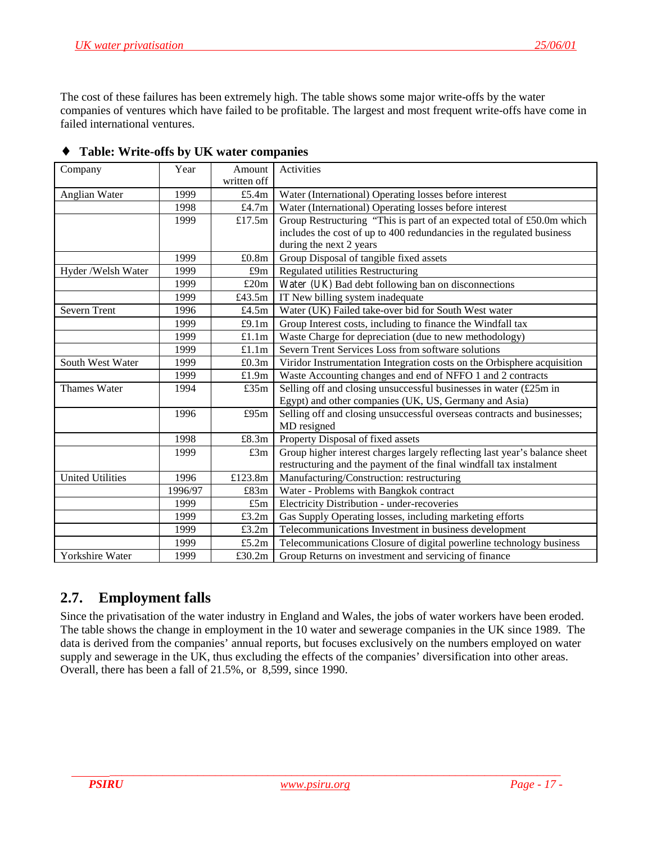<span id="page-16-0"></span>The cost of these failures has been extremely high. The table shows some major write-offs by the water companies of ventures which have failed to be profitable. The largest and most frequent write-offs have come in failed international ventures.

| Company                 | Year    | Amount      | Activities                                                                 |
|-------------------------|---------|-------------|----------------------------------------------------------------------------|
|                         |         | written off |                                                                            |
| Anglian Water           | 1999    | £5.4 $m$    | Water (International) Operating losses before interest                     |
|                         | 1998    | £4.7m       | Water (International) Operating losses before interest                     |
|                         | 1999    | £17.5m      | Group Restructuring "This is part of an expected total of £50.0m which     |
|                         |         |             | includes the cost of up to 400 redundancies in the regulated business      |
|                         |         |             | during the next 2 years                                                    |
|                         | 1999    | £0.8m       | Group Disposal of tangible fixed assets                                    |
| Hyder /Welsh Water      | 1999    | £9m         | Regulated utilities Restructuring                                          |
|                         | 1999    | £20m        | Water (UK) Bad debt following ban on disconnections                        |
|                         | 1999    | £43.5m      | IT New billing system inadequate                                           |
| Severn Trent            | 1996    | £4.5m       | Water (UK) Failed take-over bid for South West water                       |
|                         | 1999    | £9.1m       | Group Interest costs, including to finance the Windfall tax                |
|                         | 1999    | £1.1m       | Waste Charge for depreciation (due to new methodology)                     |
|                         | 1999    | £1.1m       | Severn Trent Services Loss from software solutions                         |
| South West Water        | 1999    | £0.3m       | Viridor Instrumentation Integration costs on the Orbisphere acquisition    |
|                         | 1999    | £1.9m       | Waste Accounting changes and end of NFFO 1 and 2 contracts                 |
| Thames Water            | 1994    | £35m        | Selling off and closing unsuccessful businesses in water (£25m in          |
|                         |         |             | Egypt) and other companies (UK, US, Germany and Asia)                      |
|                         | 1996    | £95m        | Selling off and closing unsuccessful overseas contracts and businesses;    |
|                         |         |             | MD resigned                                                                |
|                         | 1998    | £8.3m       | Property Disposal of fixed assets                                          |
|                         | 1999    | £3m         | Group higher interest charges largely reflecting last year's balance sheet |
|                         |         |             | restructuring and the payment of the final windfall tax instalment         |
| <b>United Utilities</b> | 1996    | £123.8m     | Manufacturing/Construction: restructuring                                  |
|                         | 1996/97 | £83m        | Water - Problems with Bangkok contract                                     |
|                         | 1999    | £5m         | Electricity Distribution - under-recoveries                                |
|                         | 1999    | £3.2m       | Gas Supply Operating losses, including marketing efforts                   |
|                         | 1999    | £3.2m       | Telecommunications Investment in business development                      |
|                         | 1999    | £5.2m       | Telecommunications Closure of digital powerline technology business        |
| Yorkshire Water         | 1999    | £30.2m      | Group Returns on investment and servicing of finance                       |

### ♦ **Table: Write-offs by UK water companies**

# **2.7. Employment falls**

Since the privatisation of the water industry in England and Wales, the jobs of water workers have been eroded. The table shows the change in employment in the 10 water and sewerage companies in the UK since 1989. The data is derived from the companies' annual reports, but focuses exclusively on the numbers employed on water supply and sewerage in the UK, thus excluding the effects of the companies' diversification into other areas. Overall, there has been a fall of 21.5%, or 8,599, since 1990.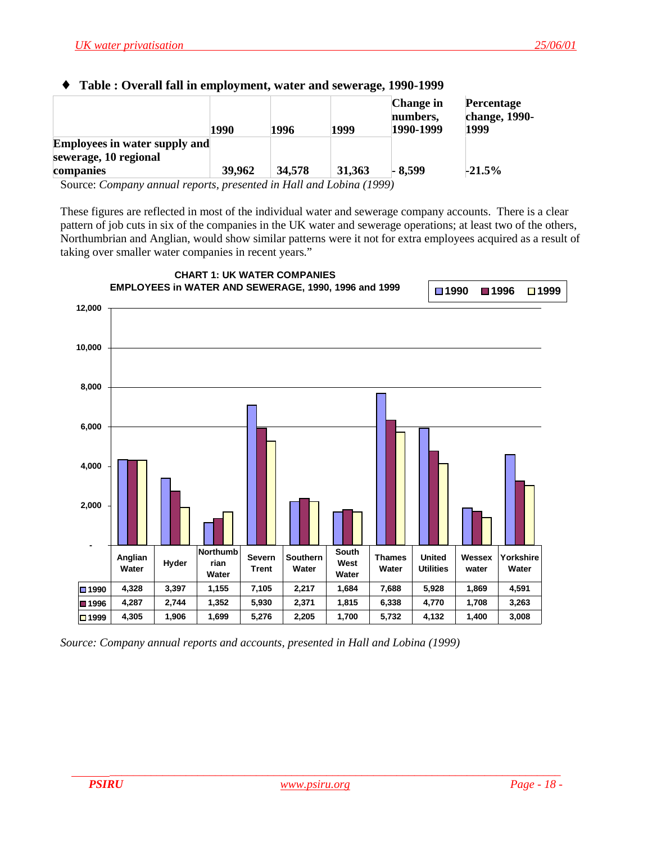#### <span id="page-17-0"></span>♦ **Table : Overall fall in employment, water and sewerage, 1990-1999**

| 1990                                 | 1996   | 1999   | <b>Change</b> in<br>numbers,<br>1990-1999 | <b>Percentage</b><br>change, 1990-<br>1999 |
|--------------------------------------|--------|--------|-------------------------------------------|--------------------------------------------|
| <b>Employees in water supply and</b> |        |        |                                           |                                            |
|                                      |        |        |                                           |                                            |
| 39,962                               | 34,578 | 31,363 | $-8.599$                                  | $-21.5%$                                   |
|                                      |        |        |                                           |                                            |

Source: *Company annual reports, presented in Hall and Lobina (1999)*

These figures are reflected in most of the individual water and sewerage company accounts. There is a clear pattern of job cuts in six of the companies in the UK water and sewerage operations; at least two of the others, Northumbrian and Anglian, would show similar patterns were it not for extra employees acquired as a result of taking over smaller water companies in recent years."



*Source: Company annual reports and accounts, presented in Hall and Lobina (1999)*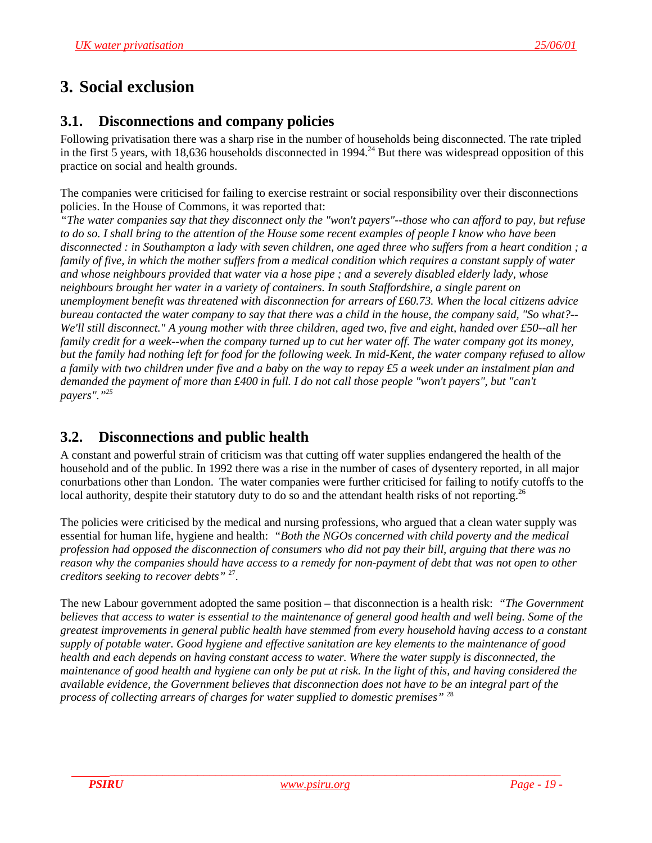# <span id="page-18-0"></span>**3. Social exclusion**

## **3.1. Disconnections and company policies**

Following privatisation there was a sharp rise in the number of households being disconnected. The rate tripled in the first 5 years, with 18,636 households disconnected in 1994.<sup>24</sup> But there was widespread opposition of this practice on social and health grounds.

The companies were criticised for failing to exercise restraint or social responsibility over their disconnections policies. In the House of Commons, it was reported that:

*"The water companies say that they disconnect only the "won't payers"--those who can afford to pay, but refuse to do so. I shall bring to the attention of the House some recent examples of people I know who have been disconnected : in Southampton a lady with seven children, one aged three who suffers from a heart condition ; a family of five, in which the mother suffers from a medical condition which requires a constant supply of water and whose neighbours provided that water via a hose pipe ; and a severely disabled elderly lady, whose neighbours brought her water in a variety of containers. In south Staffordshire, a single parent on unemployment benefit was threatened with disconnection for arrears of £60.73. When the local citizens advice bureau contacted the water company to say that there was a child in the house, the company said, "So what?-- We'll still disconnect." A young mother with three children, aged two, five and eight, handed over £50--all her family credit for a week--when the company turned up to cut her water off. The water company got its money, but the family had nothing left for food for the following week. In mid-Kent, the water company refused to allow a family with two children under five and a baby on the way to repay £5 a week under an instalment plan and demanded the payment of more than £400 in full. I do not call those people "won't payers", but "can't payers"."25*

# **3.2. Disconnections and public health**

A constant and powerful strain of criticism was that cutting off water supplies endangered the health of the household and of the public. In 1992 there was a rise in the number of cases of dysentery reported, in all major conurbations other than London. The water companies were further criticised for failing to notify cutoffs to the local authority, despite their statutory duty to do so and the attendant health risks of not reporting.<sup>26</sup>

The policies were criticised by the medical and nursing professions, who argued that a clean water supply was essential for human life, hygiene and health: *"Both the NGOs concerned with child poverty and the medical profession had opposed the disconnection of consumers who did not pay their bill, arguing that there was no reason why the companies should have access to a remedy for non-payment of debt that was not open to other creditors seeking to recover debts"* 27.

The new Labour government adopted the same position – that disconnection is a health risk: *"The Government believes that access to water is essential to the maintenance of general good health and well being. Some of the greatest improvements in general public health have stemmed from every household having access to a constant supply of potable water. Good hygiene and effective sanitation are key elements to the maintenance of good health and each depends on having constant access to water. Where the water supply is disconnected, the maintenance of good health and hygiene can only be put at risk. In the light of this, and having considered the available evidence, the Government believes that disconnection does not have to be an integral part of the process of collecting arrears of charges for water supplied to domestic premises"* <sup>28</sup>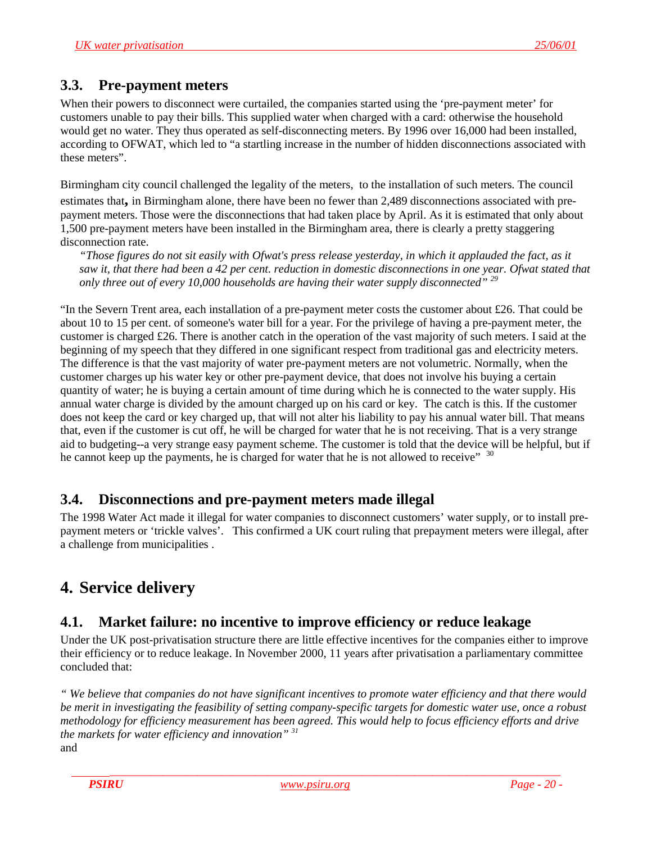## <span id="page-19-0"></span>**3.3. Pre-payment meters**

When their powers to disconnect were curtailed, the companies started using the 'pre-payment meter' for customers unable to pay their bills. This supplied water when charged with a card: otherwise the household would get no water. They thus operated as self-disconnecting meters. By 1996 over 16,000 had been installed, according to OFWAT, which led to "a startling increase in the number of hidden disconnections associated with these meters".

Birmingham city council challenged the legality of the meters, to the installation of such meters. The council estimates that**,** in Birmingham alone, there have been no fewer than 2,489 disconnections associated with prepayment meters. Those were the disconnections that had taken place by April. As it is estimated that only about 1,500 pre-payment meters have been installed in the Birmingham area, there is clearly a pretty staggering disconnection rate.

*"Those figures do not sit easily with Ofwat's press release yesterday, in which it applauded the fact, as it saw it, that there had been a 42 per cent. reduction in domestic disconnections in one year. Ofwat stated that only three out of every 10,000 households are having their water supply disconnected" 29*

"In the Severn Trent area, each installation of a pre-payment meter costs the customer about £26. That could be about 10 to 15 per cent. of someone's water bill for a year. For the privilege of having a pre-payment meter, the customer is charged £26. There is another catch in the operation of the vast majority of such meters. I said at the beginning of my speech that they differed in one significant respect from traditional gas and electricity meters. The difference is that the vast majority of water pre-payment meters are not volumetric. Normally, when the customer charges up his water key or other pre-payment device, that does not involve his buying a certain quantity of water; he is buying a certain amount of time during which he is connected to the water supply. His annual water charge is divided by the amount charged up on his card or key. The catch is this. If the customer does not keep the card or key charged up, that will not alter his liability to pay his annual water bill. That means that, even if the customer is cut off, he will be charged for water that he is not receiving. That is a very strange aid to budgeting--a very strange easy payment scheme. The customer is told that the device will be helpful, but if he cannot keep up the payments, he is charged for water that he is not allowed to receive"  $30$ 

# **3.4. Disconnections and pre-payment meters made illegal**

The 1998 Water Act made it illegal for water companies to disconnect customers' water supply, or to install prepayment meters or 'trickle valves'. This confirmed a UK court ruling that prepayment meters were illegal, after a challenge from municipalities .

# **4. Service delivery**

# **4.1. Market failure: no incentive to improve efficiency or reduce leakage**

Under the UK post-privatisation structure there are little effective incentives for the companies either to improve their efficiency or to reduce leakage. In November 2000, 11 years after privatisation a parliamentary committee concluded that:

*" We believe that companies do not have significant incentives to promote water efficiency and that there would be merit in investigating the feasibility of setting company-specific targets for domestic water use, once a robust methodology for efficiency measurement has been agreed. This would help to focus efficiency efforts and drive the markets for water efficiency and innovation" 31* and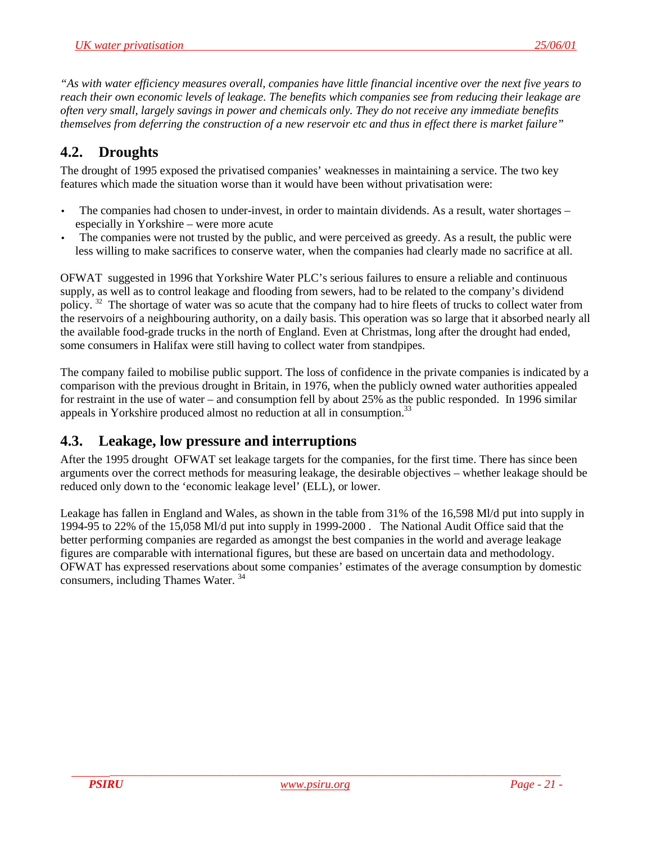<span id="page-20-0"></span>*"As with water efficiency measures overall, companies have little financial incentive over the next five years to reach their own economic levels of leakage. The benefits which companies see from reducing their leakage are often very small, largely savings in power and chemicals only. They do not receive any immediate benefits themselves from deferring the construction of a new reservoir etc and thus in effect there is market failure"*

# **4.2. Droughts**

The drought of 1995 exposed the privatised companies' weaknesses in maintaining a service. The two key features which made the situation worse than it would have been without privatisation were:

- The companies had chosen to under-invest, in order to maintain dividends. As a result, water shortages especially in Yorkshire – were more acute
- The companies were not trusted by the public, and were perceived as greedy. As a result, the public were less willing to make sacrifices to conserve water, when the companies had clearly made no sacrifice at all.

OFWAT suggested in 1996 that Yorkshire Water PLC's serious failures to ensure a reliable and continuous supply, as well as to control leakage and flooding from sewers, had to be related to the company's dividend policy.<sup>32</sup> The shortage of water was so acute that the company had to hire fleets of trucks to collect water from the reservoirs of a neighbouring authority, on a daily basis. This operation was so large that it absorbed nearly all the available food-grade trucks in the north of England. Even at Christmas, long after the drought had ended, some consumers in Halifax were still having to collect water from standpipes.

The company failed to mobilise public support. The loss of confidence in the private companies is indicated by a comparison with the previous drought in Britain, in 1976, when the publicly owned water authorities appealed for restraint in the use of water – and consumption fell by about 25% as the public responded. In 1996 similar appeals in Yorkshire produced almost no reduction at all in consumption.<sup>33</sup>

# **4.3. Leakage, low pressure and interruptions**

After the 1995 drought OFWAT set leakage targets for the companies, for the first time. There has since been arguments over the correct methods for measuring leakage, the desirable objectives – whether leakage should be reduced only down to the 'economic leakage level' (ELL), or lower.

Leakage has fallen in England and Wales, as shown in the table from 31% of the 16,598 Ml/d put into supply in 1994-95 to 22% of the 15,058 Ml/d put into supply in 1999-2000 . The National Audit Office said that the better performing companies are regarded as amongst the best companies in the world and average leakage figures are comparable with international figures, but these are based on uncertain data and methodology. OFWAT has expressed reservations about some companies' estimates of the average consumption by domestic consumers, including Thames Water. 34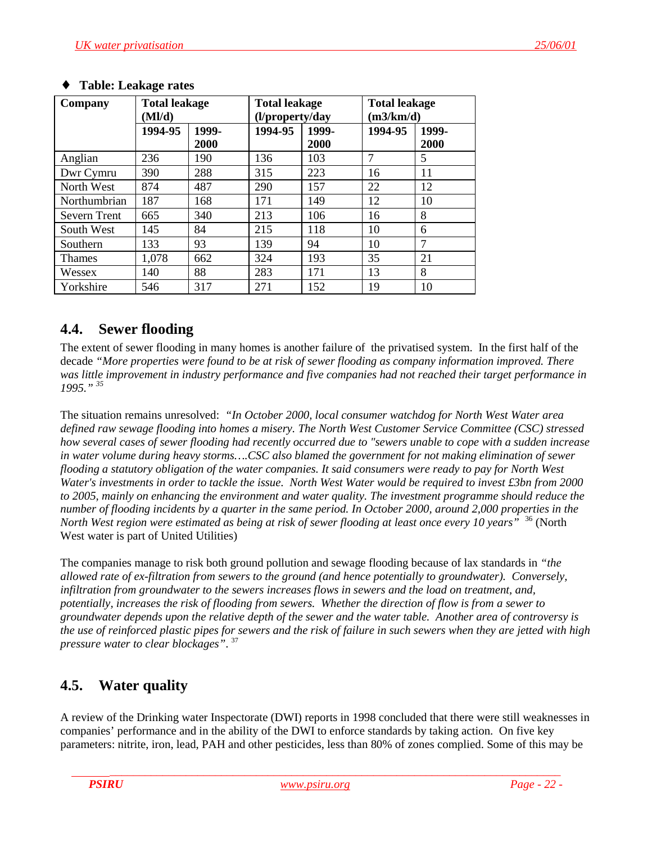| Company             | <b>Total leakage</b><br>(Ml/d) |               | <b>Total leakage</b><br>(l/property/day |               | <b>Total leakage</b><br>(m3/km/d) |               |
|---------------------|--------------------------------|---------------|-----------------------------------------|---------------|-----------------------------------|---------------|
|                     | 1994-95                        | 1999-<br>2000 | 1994-95                                 | 1999-<br>2000 | 1994-95                           | 1999-<br>2000 |
| Anglian             | 236                            | 190           | 136                                     | 103           | $\overline{7}$                    | 5             |
| Dwr Cymru           | 390                            | 288           | 315                                     | 223           | 16                                | 11            |
| North West          | 874                            | 487           | 290                                     | 157           | 22                                | 12            |
| Northumbrian        | 187                            | 168           | 171                                     | 149           | 12                                | 10            |
| <b>Severn Trent</b> | 665                            | 340           | 213                                     | 106           | 16                                | 8             |
| South West          | 145                            | 84            | 215                                     | 118           | 10                                | 6             |
| Southern            | 133                            | 93            | 139                                     | 94            | 10                                | 7             |
| Thames              | 1,078                          | 662           | 324                                     | 193           | 35                                | 21            |
| Wessex              | 140                            | 88            | 283                                     | 171           | 13                                | 8             |
| Yorkshire           | 546                            | 317           | 271                                     | 152           | 19                                | 10            |

#### <span id="page-21-0"></span>♦ **Table: Leakage rates**

## **4.4. Sewer flooding**

The extent of sewer flooding in many homes is another failure of the privatised system. In the first half of the decade *"More properties were found to be at risk of sewer flooding as company information improved. There was little improvement in industry performance and five companies had not reached their target performance in 1995." 35*

The situation remains unresolved: *"In October 2000, local consumer watchdog for North West Water area defined raw sewage flooding into homes a misery. The North West Customer Service Committee (CSC) stressed how several cases of sewer flooding had recently occurred due to "sewers unable to cope with a sudden increase in water volume during heavy storms….CSC also blamed the government for not making elimination of sewer flooding a statutory obligation of the water companies. It said consumers were ready to pay for North West Water's investments in order to tackle the issue. North West Water would be required to invest £3bn from 2000 to 2005, mainly on enhancing the environment and water quality. The investment programme should reduce the number of flooding incidents by a quarter in the same period. In October 2000, around 2,000 properties in the North West region were estimated as being at risk of sewer flooding at least once every 10 years"* 36 (North West water is part of United Utilities)

The companies manage to risk both ground pollution and sewage flooding because of lax standards in *"the allowed rate of ex-filtration from sewers to the ground (and hence potentially to groundwater). Conversely, infiltration from groundwater to the sewers increases flows in sewers and the load on treatment, and, potentially, increases the risk of flooding from sewers. Whether the direction of flow is from a sewer to groundwater depends upon the relative depth of the sewer and the water table. Another area of controversy is the use of reinforced plastic pipes for sewers and the risk of failure in such sewers when they are jetted with high pressure water to clear blockages"*. 37

# **4.5. Water quality**

A review of the Drinking water Inspectorate (DWI) reports in 1998 concluded that there were still weaknesses in companies' performance and in the ability of the DWI to enforce standards by taking action. On five key parameters: nitrite, iron, lead, PAH and other pesticides, less than 80% of zones complied. Some of this may be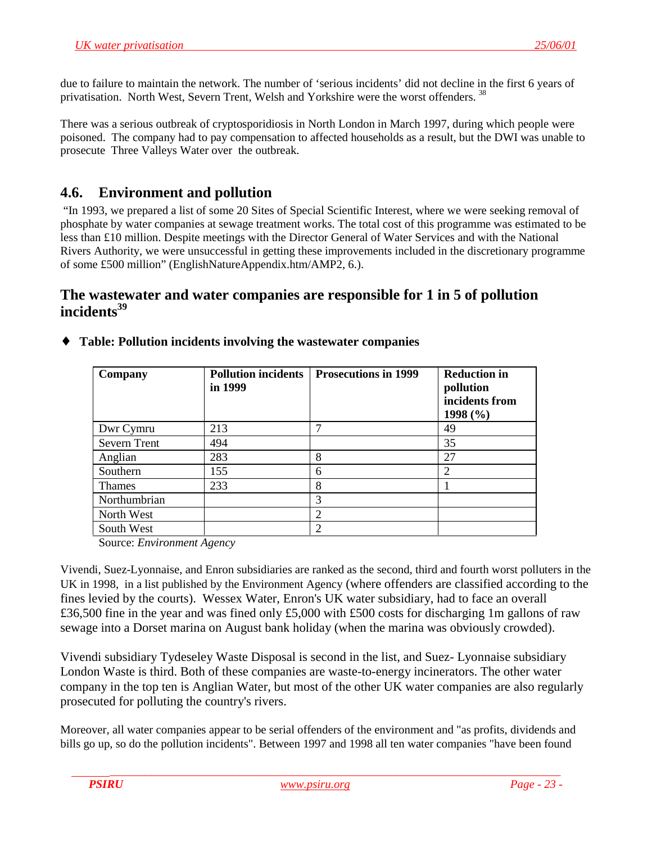<span id="page-22-0"></span>due to failure to maintain the network. The number of 'serious incidents' did not decline in the first 6 years of privatisation. North West, Severn Trent, Welsh and Yorkshire were the worst offenders. 38

There was a serious outbreak of cryptosporidiosis in North London in March 1997, during which people were poisoned. The company had to pay compensation to affected households as a result, but the DWI was unable to prosecute Three Valleys Water over the outbreak.

# **4.6. Environment and pollution**

 "In 1993, we prepared a list of some 20 Sites of Special Scientific Interest, where we were seeking removal of phosphate by water companies at sewage treatment works. The total cost of this programme was estimated to be less than £10 million. Despite meetings with the Director General of Water Services and with the National Rivers Authority, we were unsuccessful in getting these improvements included in the discretionary programme of some £500 million" (EnglishNatureAppendix.htm/AMP2, 6.).

## **The wastewater and water companies are responsible for 1 in 5 of pollution** incidents<sup>39</sup>

| Company      | <b>Pollution incidents</b><br>in 1999 | <b>Prosecutions in 1999</b> | <b>Reduction in</b><br>pollution<br>incidents from<br>1998 $(\% )$ |
|--------------|---------------------------------------|-----------------------------|--------------------------------------------------------------------|
| Dwr Cymru    | 213                                   |                             | 49                                                                 |
| Severn Trent | 494                                   |                             | 35                                                                 |
| Anglian      | 283                                   | 8                           | 27                                                                 |
| Southern     | 155                                   | 6                           | 2                                                                  |
| Thames       | 233                                   | 8                           |                                                                    |
| Northumbrian |                                       | 3                           |                                                                    |
| North West   |                                       | 2                           |                                                                    |
| South West   |                                       | 2                           |                                                                    |

♦ **Table: Pollution incidents involving the wastewater companies**

Source: *Environment Agency*

Vivendi, Suez-Lyonnaise, and Enron subsidiaries are ranked as the second, third and fourth worst polluters in the UK in 1998, in a list published by the Environment Agency (where offenders are classified according to the fines levied by the courts). Wessex Water, Enron's UK water subsidiary, had to face an overall £36,500 fine in the year and was fined only £5,000 with £500 costs for discharging 1m gallons of raw sewage into a Dorset marina on August bank holiday (when the marina was obviously crowded).

Vivendi subsidiary Tydeseley Waste Disposal is second in the list, and Suez- Lyonnaise subsidiary London Waste is third. Both of these companies are waste-to-energy incinerators. The other water company in the top ten is Anglian Water, but most of the other UK water companies are also regularly prosecuted for polluting the country's rivers.

Moreover, all water companies appear to be serial offenders of the environment and "as profits, dividends and bills go up, so do the pollution incidents". Between 1997 and 1998 all ten water companies "have been found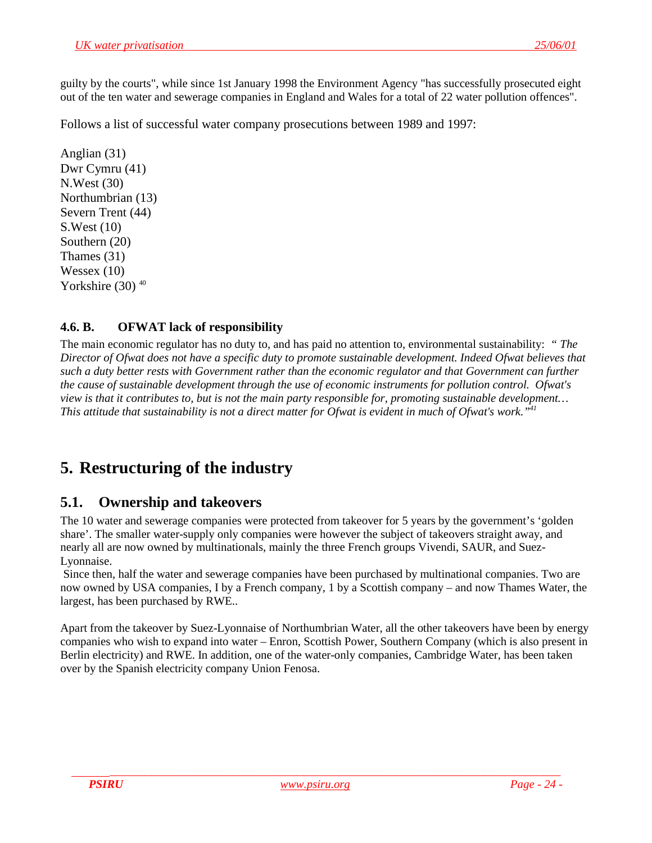<span id="page-23-0"></span>guilty by the courts", while since 1st January 1998 the Environment Agency "has successfully prosecuted eight out of the ten water and sewerage companies in England and Wales for a total of 22 water pollution offences".

Follows a list of successful water company prosecutions between 1989 and 1997:

Anglian (31) Dwr Cymru (41) N.West (30) Northumbrian (13) Severn Trent (44) S.West (10) Southern (20) Thames (31) Wessex  $(10)$ Yorkshire  $(30)^{40}$ 

## **4.6. B. OFWAT lack of responsibility**

The main economic regulator has no duty to, and has paid no attention to, environmental sustainability: *" The Director of Ofwat does not have a specific duty to promote sustainable development. Indeed Ofwat believes that such a duty better rests with Government rather than the economic regulator and that Government can further the cause of sustainable development through the use of economic instruments for pollution control. Ofwat's view is that it contributes to, but is not the main party responsible for, promoting sustainable development… This attitude that sustainability is not a direct matter for Ofwat is evident in much of Ofwat's work."41*

# **5. Restructuring of the industry**

# **5.1. Ownership and takeovers**

The 10 water and sewerage companies were protected from takeover for 5 years by the government's 'golden share'. The smaller water-supply only companies were however the subject of takeovers straight away, and nearly all are now owned by multinationals, mainly the three French groups Vivendi, SAUR, and Suez-Lyonnaise.

 Since then, half the water and sewerage companies have been purchased by multinational companies. Two are now owned by USA companies, I by a French company, 1 by a Scottish company – and now Thames Water, the largest, has been purchased by RWE..

Apart from the takeover by Suez-Lyonnaise of Northumbrian Water, all the other takeovers have been by energy companies who wish to expand into water – Enron, Scottish Power, Southern Company (which is also present in Berlin electricity) and RWE. In addition, one of the water-only companies, Cambridge Water, has been taken over by the Spanish electricity company Union Fenosa.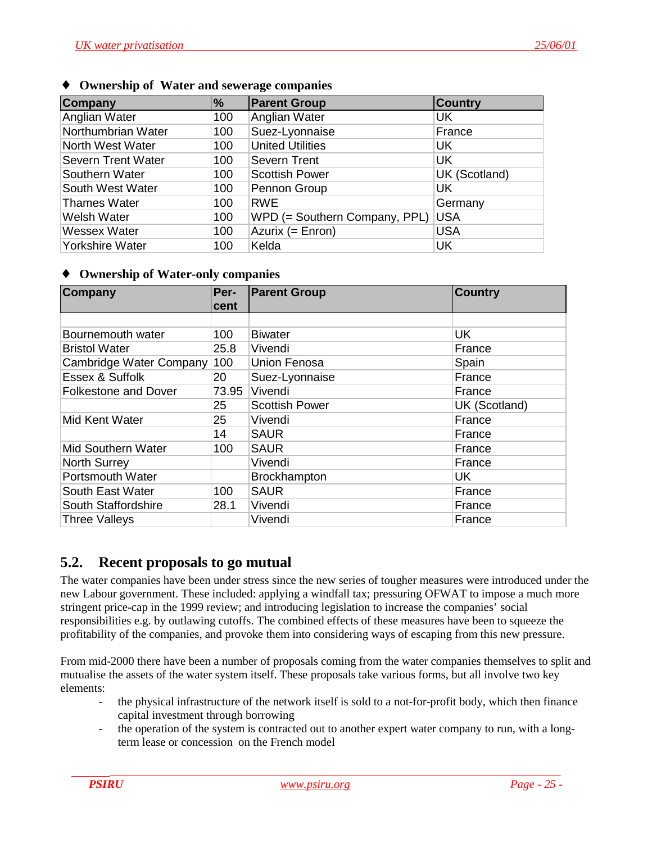| <b>Company</b>            | %   | <b>Parent Group</b>           | <b>Country</b> |
|---------------------------|-----|-------------------------------|----------------|
| Anglian Water             | 100 | Anglian Water                 | UK             |
| Northumbrian Water        | 100 | Suez-Lyonnaise                | France         |
| North West Water          | 100 | <b>United Utilities</b>       | <b>UK</b>      |
| <b>Severn Trent Water</b> | 100 | <b>Severn Trent</b>           | <b>UK</b>      |
| Southern Water            | 100 | <b>Scottish Power</b>         | UK (Scotland)  |
| South West Water          | 100 | Pennon Group                  | <b>UK</b>      |
| <b>Thames Water</b>       | 100 | <b>RWE</b>                    | Germany        |
| <b>Welsh Water</b>        | 100 | WPD (= Southern Company, PPL) | <b>USA</b>     |
| <b>Wessex Water</b>       | 100 | Azurix (= Enron)              | <b>USA</b>     |
| Yorkshire Water           | 100 | Kelda                         | <b>UK</b>      |

#### <span id="page-24-0"></span>**Ownership of Water and sewerage companies**

#### ♦ **Ownership of Water-only companies**

| Company                     | Per-  | <b>Parent Group</b>   | <b>Country</b> |
|-----------------------------|-------|-----------------------|----------------|
|                             | cent  |                       |                |
|                             |       |                       |                |
| Bournemouth water           | 100   | <b>Biwater</b>        | <b>UK</b>      |
| <b>Bristol Water</b>        | 25.8  | Vivendi               | France         |
| Cambridge Water Company     | 100   | <b>Union Fenosa</b>   | Spain          |
| Essex & Suffolk             | 20    | Suez-Lyonnaise        | France         |
| <b>Folkestone and Dover</b> | 73.95 | Vivendi               | France         |
|                             | 25    | <b>Scottish Power</b> | UK (Scotland)  |
| Mid Kent Water              | 25    | Vivendi               | France         |
|                             | 14    | <b>SAUR</b>           | France         |
| <b>Mid Southern Water</b>   | 100   | <b>SAUR</b>           | France         |
| <b>North Surrey</b>         |       | Vivendi               | France         |
| Portsmouth Water            |       | Brockhampton          | UK             |
| South East Water            | 100   | <b>SAUR</b>           | France         |
| South Staffordshire         | 28.1  | Vivendi               | France         |
| <b>Three Valleys</b>        |       | Vivendi               | France         |

## **5.2. Recent proposals to go mutual**

The water companies have been under stress since the new series of tougher measures were introduced under the new Labour government. These included: applying a windfall tax; pressuring OFWAT to impose a much more stringent price-cap in the 1999 review; and introducing legislation to increase the companies' social responsibilities e.g. by outlawing cutoffs. The combined effects of these measures have been to squeeze the profitability of the companies, and provoke them into considering ways of escaping from this new pressure.

From mid-2000 there have been a number of proposals coming from the water companies themselves to split and mutualise the assets of the water system itself. These proposals take various forms, but all involve two key elements:

- the physical infrastructure of the network itself is sold to a not-for-profit body, which then finance capital investment through borrowing
- the operation of the system is contracted out to another expert water company to run, with a longterm lease or concession on the French model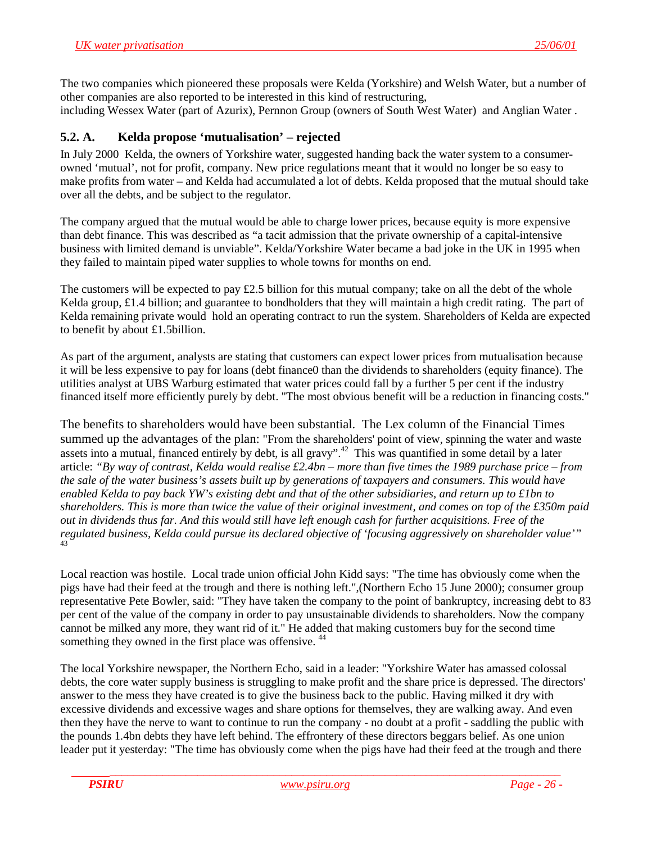<span id="page-25-0"></span>The two companies which pioneered these proposals were Kelda (Yorkshire) and Welsh Water, but a number of other companies are also reported to be interested in this kind of restructuring, including Wessex Water (part of Azurix), Pernnon Group (owners of South West Water) and Anglian Water .

### **5.2. A. Kelda propose 'mutualisation' – rejected**

In July 2000 Kelda, the owners of Yorkshire water, suggested handing back the water system to a consumerowned 'mutual', not for profit, company. New price regulations meant that it would no longer be so easy to make profits from water – and Kelda had accumulated a lot of debts. Kelda proposed that the mutual should take over all the debts, and be subject to the regulator.

The company argued that the mutual would be able to charge lower prices, because equity is more expensive than debt finance. This was described as "a tacit admission that the private ownership of a capital-intensive business with limited demand is unviable". Kelda/Yorkshire Water became a bad joke in the UK in 1995 when they failed to maintain piped water supplies to whole towns for months on end.

The customers will be expected to pay  $\pounds$  2.5 billion for this mutual company; take on all the debt of the whole Kelda group, £1.4 billion; and guarantee to bondholders that they will maintain a high credit rating. The part of Kelda remaining private would hold an operating contract to run the system. Shareholders of Kelda are expected to benefit by about £1.5billion.

As part of the argument, analysts are stating that customers can expect lower prices from mutualisation because it will be less expensive to pay for loans (debt finance0 than the dividends to shareholders (equity finance). The utilities analyst at UBS Warburg estimated that water prices could fall by a further 5 per cent if the industry financed itself more efficiently purely by debt. "The most obvious benefit will be a reduction in financing costs."

The benefits to shareholders would have been substantial. The Lex column of the Financial Times summed up the advantages of the plan: "From the shareholders' point of view, spinning the water and waste assets into a mutual, financed entirely by debt, is all gravy".<sup>42</sup> This was quantified in some detail by a later article: *"By way of contrast, Kelda would realise £2.4bn – more than five times the 1989 purchase price – from the sale of the water business's assets built up by generations of taxpayers and consumers. This would have enabled Kelda to pay back YW's existing debt and that of the other subsidiaries, and return up to £1bn to shareholders. This is more than twice the value of their original investment, and comes on top of the £350m paid out in dividends thus far. And this would still have left enough cash for further acquisitions. Free of the regulated business, Kelda could pursue its declared objective of 'focusing aggressively on shareholder value'"* 43

Local reaction was hostile. Local trade union official John Kidd says: "The time has obviously come when the pigs have had their feed at the trough and there is nothing left.",(Northern Echo 15 June 2000); consumer group representative Pete Bowler, said: "They have taken the company to the point of bankruptcy, increasing debt to 83 per cent of the value of the company in order to pay unsustainable dividends to shareholders. Now the company cannot be milked any more, they want rid of it." He added that making customers buy for the second time something they owned in the first place was offensive.<sup>44</sup>

The local Yorkshire newspaper, the Northern Echo, said in a leader: "Yorkshire Water has amassed colossal debts, the core water supply business is struggling to make profit and the share price is depressed. The directors' answer to the mess they have created is to give the business back to the public. Having milked it dry with excessive dividends and excessive wages and share options for themselves, they are walking away. And even then they have the nerve to want to continue to run the company - no doubt at a profit - saddling the public with the pounds 1.4bn debts they have left behind. The effrontery of these directors beggars belief. As one union leader put it yesterday: "The time has obviously come when the pigs have had their feed at the trough and there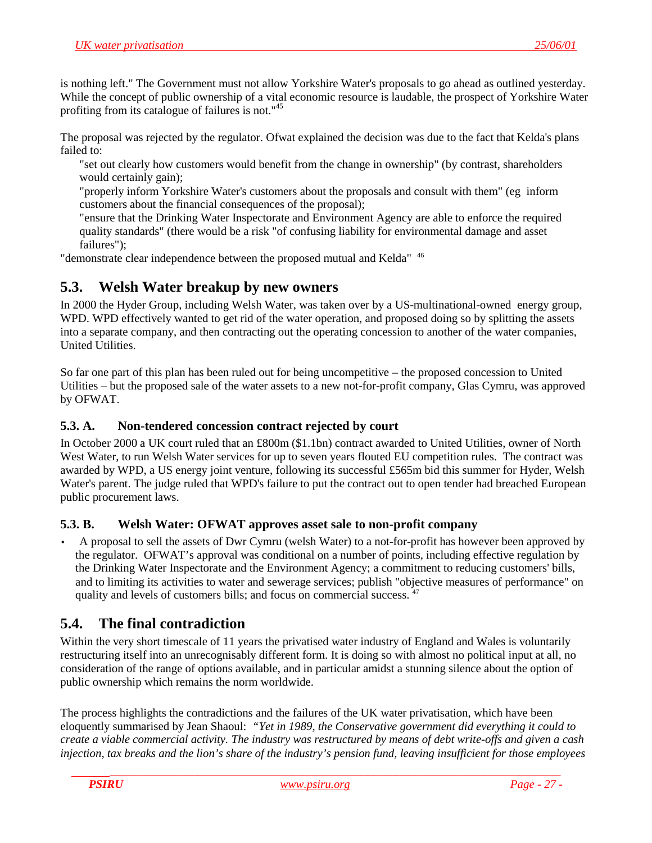<span id="page-26-0"></span>is nothing left." The Government must not allow Yorkshire Water's proposals to go ahead as outlined yesterday. While the concept of public ownership of a vital economic resource is laudable, the prospect of Yorkshire Water profiting from its catalogue of failures is not."45

The proposal was rejected by the regulator. Ofwat explained the decision was due to the fact that Kelda's plans failed to:

"set out clearly how customers would benefit from the change in ownership" (by contrast, shareholders would certainly gain);

"properly inform Yorkshire Water's customers about the proposals and consult with them" (eg inform customers about the financial consequences of the proposal);

"ensure that the Drinking Water Inspectorate and Environment Agency are able to enforce the required quality standards" (there would be a risk "of confusing liability for environmental damage and asset failures");

"demonstrate clear independence between the proposed mutual and Kelda" 46

# **5.3. Welsh Water breakup by new owners**

In 2000 the Hyder Group, including Welsh Water, was taken over by a US-multinational-owned energy group, WPD. WPD effectively wanted to get rid of the water operation, and proposed doing so by splitting the assets into a separate company, and then contracting out the operating concession to another of the water companies, United Utilities.

So far one part of this plan has been ruled out for being uncompetitive – the proposed concession to United Utilities – but the proposed sale of the water assets to a new not-for-profit company, Glas Cymru, was approved by OFWAT.

### **5.3. A. Non-tendered concession contract rejected by court**

In October 2000 a UK court ruled that an £800m (\$1.1bn) contract awarded to United Utilities, owner of North West Water, to run Welsh Water services for up to seven years flouted EU competition rules. The contract was awarded by WPD, a US energy joint venture, following its successful £565m bid this summer for Hyder, Welsh Water's parent. The judge ruled that WPD's failure to put the contract out to open tender had breached European public procurement laws.

## **5.3. B. Welsh Water: OFWAT approves asset sale to non-profit company**

• A proposal to sell the assets of Dwr Cymru (welsh Water) to a not-for-profit has however been approved by the regulator. OFWAT's approval was conditional on a number of points, including effective regulation by the Drinking Water Inspectorate and the Environment Agency; a commitment to reducing customers' bills, and to limiting its activities to water and sewerage services; publish "objective measures of performance" on quality and levels of customers bills; and focus on commercial success.  $47$ 

# **5.4. The final contradiction**

Within the very short timescale of 11 years the privatised water industry of England and Wales is voluntarily restructuring itself into an unrecognisably different form. It is doing so with almost no political input at all, no consideration of the range of options available, and in particular amidst a stunning silence about the option of public ownership which remains the norm worldwide.

The process highlights the contradictions and the failures of the UK water privatisation, which have been eloquently summarised by Jean Shaoul: *"Yet in 1989, the Conservative government did everything it could to create a viable commercial activity. The industry was restructured by means of debt write-offs and given a cash injection, tax breaks and the lion's share of the industry's pension fund, leaving insufficient for those employees*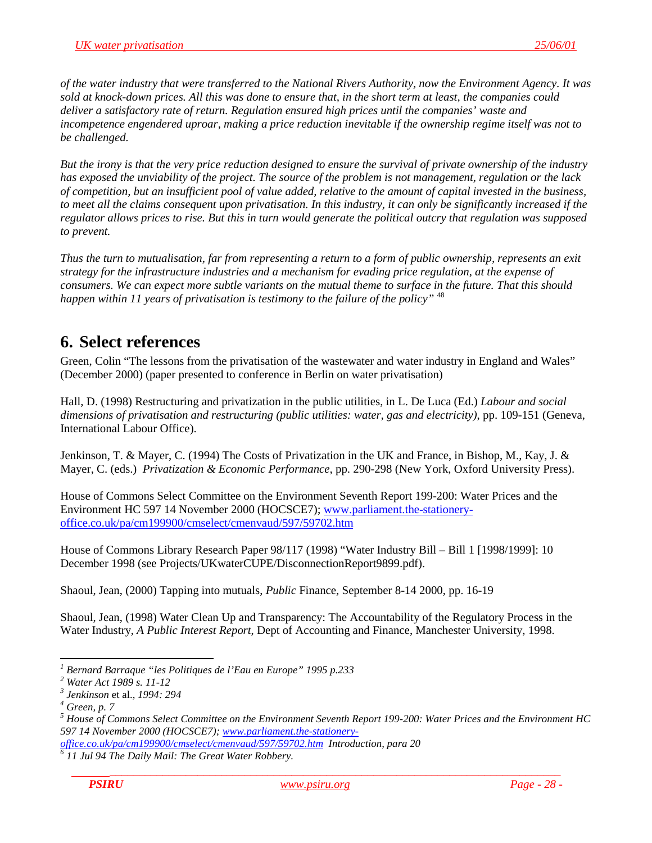<span id="page-27-0"></span>*of the water industry that were transferred to the National Rivers Authority, now the Environment Agency. It was sold at knock-down prices. All this was done to ensure that, in the short term at least, the companies could deliver a satisfactory rate of return. Regulation ensured high prices until the companies' waste and incompetence engendered uproar, making a price reduction inevitable if the ownership regime itself was not to be challenged.*

*But the irony is that the very price reduction designed to ensure the survival of private ownership of the industry has exposed the unviability of the project. The source of the problem is not management, regulation or the lack of competition, but an insufficient pool of value added, relative to the amount of capital invested in the business, to meet all the claims consequent upon privatisation. In this industry, it can only be significantly increased if the regulator allows prices to rise. But this in turn would generate the political outcry that regulation was supposed to prevent.*

*Thus the turn to mutualisation, far from representing a return to a form of public ownership, represents an exit strategy for the infrastructure industries and a mechanism for evading price regulation, at the expense of consumers. We can expect more subtle variants on the mutual theme to surface in the future. That this should happen within 11 years of privatisation is testimony to the failure of the policy"* <sup>48</sup>

# **6. Select references**

Green, Colin "The lessons from the privatisation of the wastewater and water industry in England and Wales" (December 2000) (paper presented to conference in Berlin on water privatisation)

Hall, D. (1998) Restructuring and privatization in the public utilities, in L. De Luca (Ed.) *Labour and social dimensions of privatisation and restructuring (public utilities: water, gas and electricity)*, pp. 109-151 (Geneva, International Labour Office).

Jenkinson, T. & Mayer, C. (1994) The Costs of Privatization in the UK and France, in Bishop, M., Kay, J. & Mayer, C. (eds.) *Privatization & Economic Performance*, pp. 290-298 (New York, Oxford University Press).

House of Commons Select Committee on the Environment Seventh Report 199-200: Water Prices and the Environment HC 597 14 November 2000 (HOCSCE7); [www.parliament.the-stationery](http://www.parliament.the-stationery-office.co.uk/pa/cm199900/cmselect/cmenvaud/597/59702.htm)[office.co.uk/pa/cm199900/cmselect/cmenvaud/597/59702.htm](http://www.parliament.the-stationery-office.co.uk/pa/cm199900/cmselect/cmenvaud/597/59702.htm)

House of Commons Library Research Paper 98/117 (1998) "Water Industry Bill – Bill 1 [1998/1999]: 10 December 1998 (see Projects/UKwaterCUPE/DisconnectionReport9899.pdf).

Shaoul, Jean, (2000) Tapping into mutuals, *Public* Finance, September 8-14 2000, pp. 16-19

Shaoul, Jean, (1998) Water Clean Up and Transparency: The Accountability of the Regulatory Process in the Water Industry, *A Public Interest Report*, Dept of Accounting and Finance, Manchester University, 1998.

l *1 Bernard Barraque "les Politiques de l'Eau en Europe" 1995 p.233*

*<sup>2</sup> Water Act 1989 s. 11-12*

*<sup>3</sup> Jenkinson* et al.*, 1994: 294 <sup>4</sup>*

*Green, p. 7*

*<sup>5</sup> House of Commons Select Committee on the Environment Seventh Report 199-200: Water Prices and the Environment HC 597 14 November 2000 (HOCSCE7); www.parliament.the-stationery-*

*office.co.uk/pa/cm199900/cmselect/cmenvaud/597/59702.htm Introduction, para 20 <sup>6</sup>*

 *<sup>11</sup> Jul 94 The Daily Mail: The Great Water Robbery.*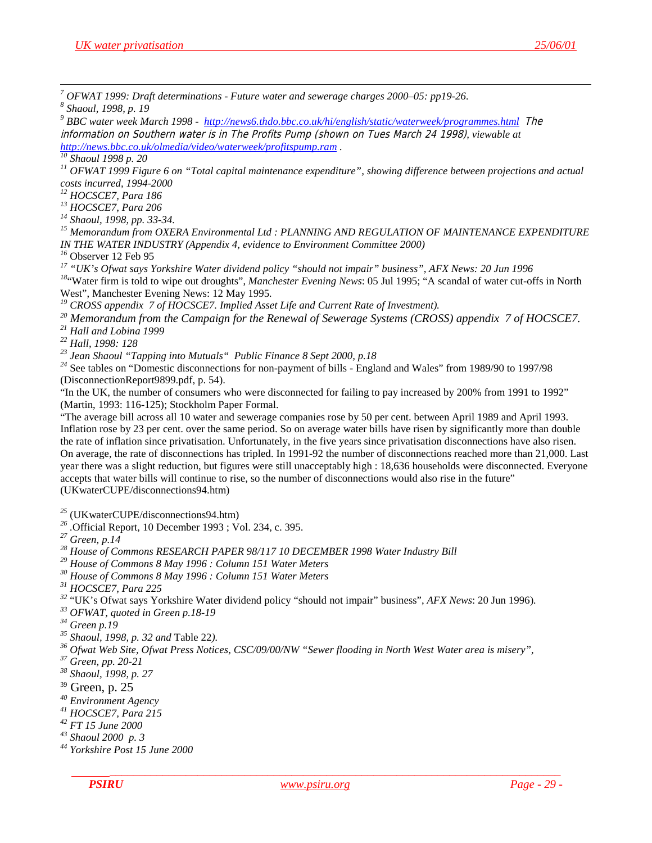*7 OFWAT 1999: Draft determinations - Future water and sewerage charges 2000–05: pp19-26.*

*8 Shaoul, 1998, p. 19*

<sup>9</sup> BBC water week March 1998 - http://news6.thdo.bbc.co.uk/hi/english/static/waterweek/programmes.html The information on Southern water is in The Profits Pump (shown on Tues March 24 1998)*, viewable at http://news.bbc.co.uk/olmedia/video/waterweek/profitspump.ram . 10 Shaoul 1998 p. 20*

*11 OFWAT 1999 Figure 6 on "Total capital maintenance expenditure", showing difference between projections and actual costs incurred, 1994-2000*

*12 HOCSCE7, Para 186*

*13 HOCSCE7, Para 206*

*14 Shaoul, 1998, pp. 33-34.*

*15 Memorandum from OXERA Environmental Ltd : PLANNING AND REGULATION OF MAINTENANCE EXPENDITURE IN THE WATER INDUSTRY (Appendix 4, evidence to Environment Committee 2000)*

<sup>17</sup> "UK's Ofwat says Yorkshire Water dividend policy "should not impair" business", AFX News: 20 Jun 1996

<sup>18"</sup>Water firm is told to wipe out droughts", *Manchester Evening News*: 05 Jul 1995; "A scandal of water cut-offs in North West", Manchester Evening News: 12 May 1995.

<sup>19</sup> CROSS appendix 7 of HOCSCE7. Implied Asset Life and Current Rate of Investment).

*20 Memorandum from the Campaign for the Renewal of Sewerage Systems (CROSS) appendix 7 of HOCSCE7.*

*21 Hall and Lobina 1999*

*22 Hall, 1998: 128*

*23 Jean Shaoul "Tapping into Mutuals" Public Finance 8 Sept 2000, p.18*

*<sup>24</sup>* See tables on "Domestic disconnections for non-payment of bills - England and Wales" from 1989/90 to 1997/98 (DisconnectionReport9899.pdf, p. 54).

"In the UK, the number of consumers who were disconnected for failing to pay increased by 200% from 1991 to 1992" (Martin, 1993: 116-125); Stockholm Paper Formal.

"The average bill across all 10 water and sewerage companies rose by 50 per cent. between April 1989 and April 1993. Inflation rose by 23 per cent. over the same period. So on average water bills have risen by significantly more than double the rate of inflation since privatisation. Unfortunately, in the five years since privatisation disconnections have also risen. On average, the rate of disconnections has tripled. In 1991-92 the number of disconnections reached more than 21,000. Last year there was a slight reduction, but figures were still unacceptably high : 18,636 households were disconnected. Everyone accepts that water bills will continue to rise, so the number of disconnections would also rise in the future" (UKwaterCUPE/disconnections94.htm)

*<sup>25</sup>* (UKwaterCUPE/disconnections94.htm) *26 .*Official Report, 10 December 1993 ; Vol. 234, c. 395. *27 Green, p.14*

*28 House of Commons RESEARCH PAPER 98/117 10 DECEMBER 1998 Water Industry Bill*

*29 House of Commons 8 May 1996 : Column 151 Water Meters*

*30 House of Commons 8 May 1996 : Column 151 Water Meters*

*31 HOCSCE7, Para 225*

*<sup>32</sup>* "UK's Ofwat says Yorkshire Water dividend policy "should not impair" business", *AFX News*: 20 Jun 1996)*. 33 OFWAT, quoted in Green p.18-19*

*34 Green p.19*

*35 Shaoul, 1998, p. 32 and* Table 22*). 36 Ofwat Web Site, Ofwat Press Notices, CSC/09/00/NW "Sewer flooding in North West Water area is misery",*

*37 Green, pp. 20-21*

*38 Shaoul, 1998, p. 27*

39 Green, p. 25

*40 Environment Agency*

*41 HOCSCE7, Para 215*

*42 FT 15 June 2000*

*43 Shaoul 2000 p. 3*

*44 Yorkshire Post 15 June 2000*